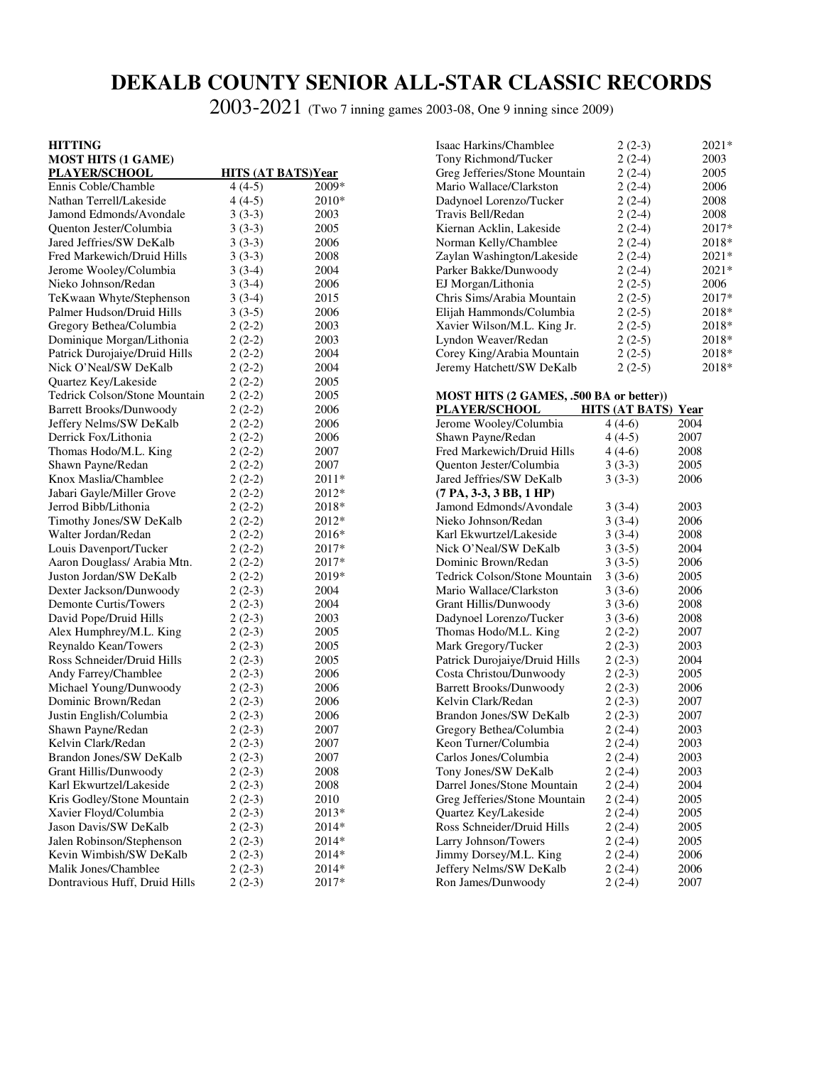# **DEKALB COUNTY SENIOR ALL-STAR CLASSIC RECORDS**

2003-2021 (Two 7 inning games 2003-08, One 9 inning since 2009)

# **HITTING MOST HITS (1 GAME)**

| <b>PLAYER/SCHOOL</b>                 | <b>HITS (AT BATS)Year</b> |       |  |
|--------------------------------------|---------------------------|-------|--|
| Ennis Coble/Chamble                  | $4(4-5)$                  | 2009* |  |
| Nathan Terrell/Lakeside              | $4(4-5)$                  | 2010* |  |
| Jamond Edmonds/Avondale              | $3(3-3)$                  | 2003  |  |
| Quenton Jester/Columbia              | $3(3-3)$                  | 2005  |  |
| Jared Jeffries/SW DeKalb             | $3(3-3)$                  | 2006  |  |
| Fred Markewich/Druid Hills           | $3(3-3)$                  | 2008  |  |
| Jerome Wooley/Columbia               | $3(3-4)$                  | 2004  |  |
| Nieko Johnson/Redan                  | $3(3-4)$                  | 2006  |  |
| TeKwaan Whyte/Stephenson             | $3(3-4)$                  | 2015  |  |
| Palmer Hudson/Druid Hills            | $3(3-5)$                  | 2006  |  |
| Gregory Bethea/Columbia              | $2(2-2)$                  | 2003  |  |
| Dominique Morgan/Lithonia            | $2(2-2)$                  | 2003  |  |
| Patrick Durojaiye/Druid Hills        | $2(2-2)$                  | 2004  |  |
| Nick O'Neal/SW DeKalb                | $2(2-2)$                  | 2004  |  |
| Quartez Key/Lakeside                 | $2(2-2)$                  | 2005  |  |
| <b>Tedrick Colson/Stone Mountain</b> | $2(2-2)$                  | 2005  |  |
| <b>Barrett Brooks/Dunwoody</b>       | $2(2-2)$                  | 2006  |  |
| Jeffery Nelms/SW DeKalb              | $2(2-2)$                  | 2006  |  |
| Derrick Fox/Lithonia                 | $2(2-2)$                  | 2006  |  |
| Thomas Hodo/M.L. King                | $2(2-2)$                  | 2007  |  |
| Shawn Payne/Redan                    | $2(2-2)$                  | 2007  |  |
| Knox Maslia/Chamblee                 | $2(2-2)$                  | 2011* |  |
| Jabari Gayle/Miller Grove            | $2(2-2)$                  | 2012* |  |
| Jerrod Bibb/Lithonia                 | $2(2-2)$                  | 2018* |  |
| Timothy Jones/SW DeKalb              | $2(2-2)$                  | 2012* |  |
| Walter Jordan/Redan                  | $2(2-2)$                  | 2016* |  |
| Louis Davenport/Tucker               | $2(2-2)$                  | 2017* |  |
| Aaron Douglass/ Arabia Mtn.          | $2(2-2)$                  | 2017* |  |
| Juston Jordan/SW DeKalb              | $2(2-2)$                  | 2019* |  |
| Dexter Jackson/Dunwoody              | $2(2-3)$                  | 2004  |  |
| Demonte Curtis/Towers                | $2(2-3)$                  | 2004  |  |
| David Pope/Druid Hills               | $2(2-3)$                  | 2003  |  |
| Alex Humphrey/M.L. King              | $2(2-3)$                  | 2005  |  |
| Reynaldo Kean/Towers                 | $2(2-3)$                  | 2005  |  |
| Ross Schneider/Druid Hills           | $2(2-3)$                  | 2005  |  |
| Andy Farrey/Chamblee                 | $2(2-3)$                  | 2006  |  |
| Michael Young/Dunwoody               | $2(2-3)$                  | 2006  |  |
| Dominic Brown/Redan                  | $2(2-3)$                  | 2006  |  |
| Justin English/Columbia              | $2(2-3)$                  | 2006  |  |
| Shawn Payne/Redan                    | $2(2-3)$                  | 2007  |  |
| Kelvin Clark/Redan                   | $2(2-3)$                  | 2007  |  |
| Brandon Jones/SW DeKalb              | $2(2-3)$                  | 2007  |  |
| Grant Hillis/Dunwoody                | $2(2-3)$                  | 2008  |  |
| Karl Ekwurtzel/Lakeside              | $2(2-3)$                  | 2008  |  |
| Kris Godley/Stone Mountain           | $2(2-3)$                  | 2010  |  |
| Xavier Floyd/Columbia                | $2(2-3)$                  | 2013* |  |
| Jason Davis/SW DeKalb                | $2(2-3)$                  | 2014* |  |
| Jalen Robinson/Stephenson            | $2(2-3)$                  | 2014* |  |
| Kevin Wimbish/SW DeKalb              | $2(2-3)$                  | 2014* |  |
| Malik Jones/Chamblee                 | $2(2-3)$                  | 2014* |  |
| Dontravious Huff, Druid Hills        | $2(2-3)$                  | 2017* |  |
|                                      |                           |       |  |

| Isaac Harkins/Chamblee                  | $2(2-3)$            | 2021* |
|-----------------------------------------|---------------------|-------|
| Tony Richmond/Tucker                    | $2(2-4)$            | 2003  |
| Greg Jefferies/Stone Mountain           | $2(2-4)$            | 2005  |
| Mario Wallace/Clarkston                 | $2(2-4)$            | 2006  |
| Dadynoel Lorenzo/Tucker                 | $2(2-4)$            | 2008  |
| Travis Bell/Redan                       | $2(2-4)$            | 2008  |
| Kiernan Acklin, Lakeside                | $2(2-4)$            | 2017* |
| Norman Kelly/Chamblee                   | $2(2-4)$            | 2018* |
| Zaylan Washington/Lakeside              | $2(2-4)$            | 2021* |
| Parker Bakke/Dunwoody                   | $2(2-4)$            | 2021* |
| EJ Morgan/Lithonia                      | $2(2-5)$            | 2006  |
| Chris Sims/Arabia Mountain              | $2(2-5)$            | 2017* |
| Elijah Hammonds/Columbia                | $2(2-5)$            | 2018* |
| Xavier Wilson/M.L. King Jr.             | $2(2-5)$            | 2018* |
| Lyndon Weaver/Redan                     | $2(2-5)$            | 2018* |
| Corey King/Arabia Mountain              | $2(2-5)$            | 2018* |
| Jeremy Hatchett/SW DeKalb               | $2(2-5)$            | 2018* |
|                                         |                     |       |
| MOST HITS (2 GAMES, .500 BA or better)) |                     |       |
| PLAYER/SCHOOL                           | HITS (AT BATS) Year |       |
| Jerome Wooley/Columbia                  | $4(4-6)$            | 2004  |
| Shawn Payne/Redan                       | $4(4-5)$            | 2007  |
| Fred Markewich/Druid Hills              | $4(4-6)$            | 2008  |
| Quenton Jester/Columbia                 | $3(3-3)$            | 2005  |
| Jared Jeffries/SW DeKalb                | $3(3-3)$            | 2006  |
| $(7 PA, 3-3, 3 BB, 1 HP)$               |                     |       |
| Jamond Edmonds/Avondale                 | $3(3-4)$            | 2003  |
| Nieko Johnson/Redan                     | $3(3-4)$            | 2006  |
| Karl Ekwurtzel/Lakeside                 | $3(3-4)$            | 2008  |
| Nick O'Neal/SW DeKalb                   | $3(3-5)$            | 2004  |
| Dominic Brown/Redan                     | $3(3-5)$            | 2006  |
| <b>Tedrick Colson/Stone Mountain</b>    | $3(3-6)$            | 2005  |
| Mario Wallace/Clarkston                 | $3(3-6)$            | 2006  |
| Grant Hillis/Dunwoody                   | $3(3-6)$            | 2008  |
| Dadynoel Lorenzo/Tucker                 | $3(3-6)$            | 2008  |
| Thomas Hodo/M.L. King                   | $2(2-2)$            | 2007  |
| Mark Gregory/Tucker                     | $2(2-3)$            | 2003  |
| Patrick Durojaiye/Druid Hills           | $2(2-3)$            | 2004  |
| Costa Christou/Dunwoody                 | $2(2-3)$            | 2005  |
| <b>Barrett Brooks/Dunwoody</b>          | $2(2-3)$            | 2006  |
| Kelvin Clark/Redan                      | $2(2-3)$            | 2007  |
| Brandon Jones/SW DeKalb                 | $2(2-3)$            | 2007  |
| Gregory Bethea/Columbia                 | $2(2-4)$            | 2003  |
| Keon Turner/Columbia                    | $2(2-4)$            | 2003  |
| Carlos Jones/Columbia                   | $2(2-4)$            | 2003  |
| Tony Jones/SW DeKalb                    | $2(2-4)$            | 2003  |
| Darrel Jones/Stone Mountain             | $2(2-4)$            | 2004  |
| Greg Jefferies/Stone Mountain           | $2(2-4)$            | 2005  |
| Quartez Key/Lakeside                    | $2(2-4)$            | 2005  |
| Ross Schneider/Druid Hills              | $2(2-4)$            | 2005  |
| Larry Johnson/Towers                    | $2(2-4)$            | 2005  |
| Jimmy Dorsey/M.L. King                  | $2(2-4)$            | 2006  |
| Jeffery Nelms/SW DeKalb                 | $2(2-4)$            | 2006  |
| Ron James/Dunwoody                      | $2(2-4)$            | 2007  |
|                                         |                     |       |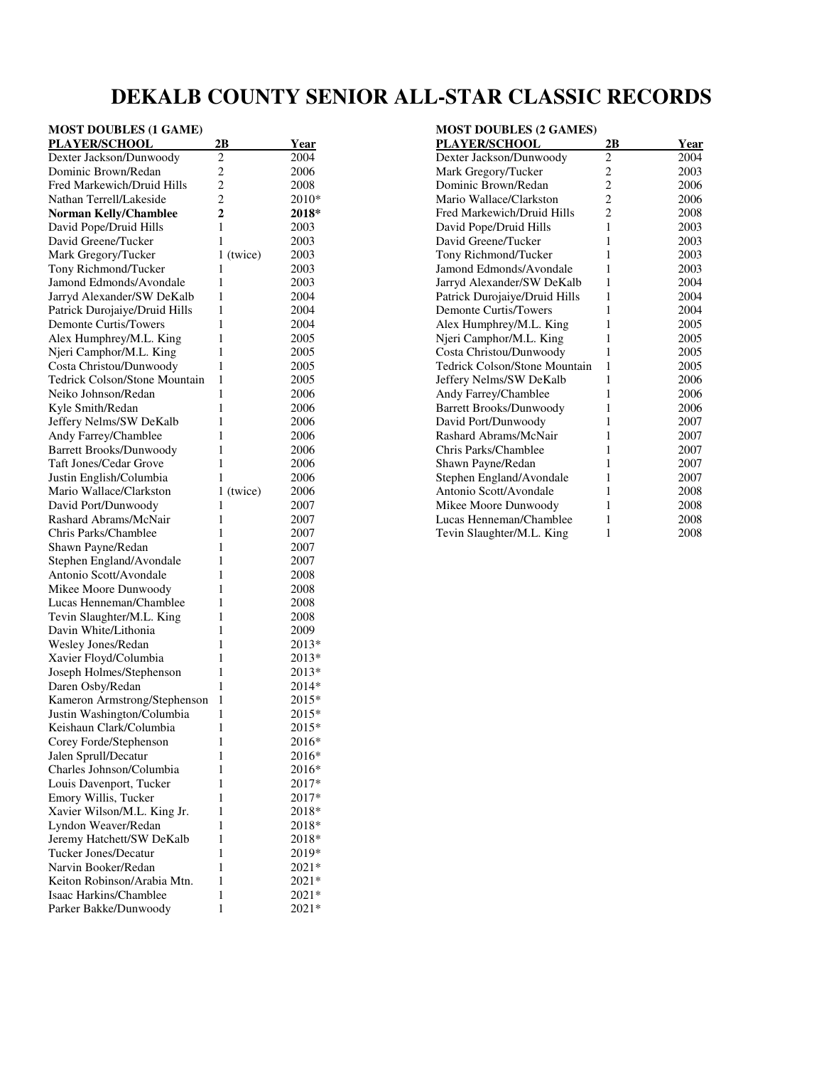# **DEKALB COUNTY SENIOR ALL-STAR CLASSIC RECORDS**

## **MOST DOUBLES (1 GAME)**

| <b>PLAYER/SCHOOL</b>                 | 2B             | <u>Year</u> |
|--------------------------------------|----------------|-------------|
| Dexter Jackson/Dunwoody              | 2              | 2004        |
| Dominic Brown/Redan                  | $\overline{c}$ | 2006        |
| Fred Markewich/Druid Hills           | $\overline{c}$ | 2008        |
| Nathan Terrell/Lakeside              | $\overline{c}$ | 2010*       |
| <b>Norman Kelly/Chamblee</b>         | $\overline{2}$ | 2018*       |
| David Pope/Druid Hills               | 1              | 2003        |
| David Greene/Tucker                  | 1              | 2003        |
| Mark Gregory/Tucker                  | 1 (twice)      | 2003        |
| Tony Richmond/Tucker                 | 1              | 2003        |
| Jamond Edmonds/Avondale              | 1              | 2003        |
| Jarryd Alexander/SW DeKalb           | 1              | 2004        |
| Patrick Durojaiye/Druid Hills        | 1              | 2004        |
| <b>Demonte Curtis/Towers</b>         | 1              | 2004        |
| Alex Humphrey/M.L. King              | 1              | 2005        |
| Njeri Camphor/M.L. King              | 1              | 2005        |
| Costa Christou/Dunwoody              | 1              | 2005        |
| <b>Tedrick Colson/Stone Mountain</b> | 1              | 2005        |
| Neiko Johnson/Redan                  | 1              | 2006        |
| Kyle Smith/Redan                     | 1              | 2006        |
| Jeffery Nelms/SW DeKalb              | 1              | 2006        |
| Andy Farrey/Chamblee                 | 1              | 2006        |
| <b>Barrett Brooks/Dunwoody</b>       | 1              | 2006        |
| Taft Jones/Cedar Grove               | 1              | 2006        |
| Justin English/Columbia              | 1              | 2006        |
| Mario Wallace/Clarkston              | 1 (twice)      | 2006        |
| David Port/Dunwoody                  | 1              | 2007        |
| Rashard Abrams/McNair                | 1              | 2007        |
| Chris Parks/Chamblee                 | 1              | 2007        |
| Shawn Payne/Redan                    | 1              | 2007        |
| Stephen England/Avondale             | 1              | 2007        |
| Antonio Scott/Avondale               | 1              | 2008        |
| Mikee Moore Dunwoody                 | 1              | 2008        |
| Lucas Henneman/Chamblee              | 1              | 2008        |
| Tevin Slaughter/M.L. King            | 1              | 2008        |
| Davin White/Lithonia                 | 1              | 2009        |
| Wesley Jones/Redan                   | 1              | 2013*       |
| Xavier Floyd/Columbia                | 1              | 2013*       |
| Joseph Holmes/Stephenson             | 1              | 2013*       |
| Daren Osby/Redan                     | 1              | 2014*       |
| Kameron Armstrong/Stephenson         | 1              | 2015*       |
| Justin Washington/Columbia           | 1              | 2015*       |
| Keishaun Clark/Columbia              | 1              | 2015*       |
| Corey Forde/Stephenson               | 1              | 2016*       |
| Jalen Sprull/Decatur                 | 1              | 2016*       |
| Charles Johnson/Columbia             | 1              | 2016*       |
| Louis Davenport, Tucker              | 1              | 2017*       |
| Emory Willis, Tucker                 | 1              | 2017*       |
| Xavier Wilson/M.L. King Jr.          | 1              | 2018*       |
| Lyndon Weaver/Redan                  | 1              | 2018*       |
| Jeremy Hatchett/SW DeKalb            | 1              | 2018*       |
| Tucker Jones/Decatur                 | 1              | 2019*       |
| Narvin Booker/Redan                  | 1              | 2021*       |
| Keiton Robinson/Arabia Mtn.          | 1              | 2021*       |
| Isaac Harkins/Chamblee               | 1              | 2021*       |
| Parker Bakke/Dunwoody                | 1              | 2021*       |

| <b>MOST DOUBLES (2 GAMES)</b>        |                         |      |
|--------------------------------------|-------------------------|------|
| <b>PLAYER/SCHOOL</b>                 | 2B                      | Year |
| Dexter Jackson/Dunwoody              | $\overline{c}$          | 2004 |
| Mark Gregory/Tucker                  | $\overline{\mathbf{c}}$ | 2003 |
| Dominic Brown/Redan                  | $\overline{c}$          | 2006 |
| Mario Wallace/Clarkston              | $\overline{c}$          | 2006 |
| Fred Markewich/Druid Hills           | $\overline{2}$          | 2008 |
| David Pope/Druid Hills               | $\mathbf{1}$            | 2003 |
| David Greene/Tucker                  | 1                       | 2003 |
| Tony Richmond/Tucker                 | 1                       | 2003 |
| Jamond Edmonds/Avondale              | 1                       | 2003 |
| Jarryd Alexander/SW DeKalb           | 1                       | 2004 |
| Patrick Durojaiye/Druid Hills        | 1                       | 2004 |
| <b>Demonte Curtis/Towers</b>         | 1                       | 2004 |
| Alex Humphrey/M.L. King              | 1                       | 2005 |
| Njeri Camphor/M.L. King              | 1                       | 2005 |
| Costa Christou/Dunwoody              | 1                       | 2005 |
| <b>Tedrick Colson/Stone Mountain</b> | 1                       | 2005 |
| Jeffery Nelms/SW DeKalb              | 1                       | 2006 |
| Andy Farrey/Chamblee                 | 1                       | 2006 |
| <b>Barrett Brooks/Dunwoody</b>       | 1                       | 2006 |
| David Port/Dunwoody                  | 1                       | 2007 |
| Rashard Abrams/McNair                | 1                       | 2007 |
| Chris Parks/Chamblee                 | 1                       | 2007 |
| Shawn Payne/Redan                    | 1                       | 2007 |
| Stephen England/Avondale             | 1                       | 2007 |
| Antonio Scott/Avondale               | 1                       | 2008 |
| Mikee Moore Dunwoody                 | 1                       | 2008 |
| Lucas Henneman/Chamblee              | 1                       | 2008 |
| Tevin Slaughter/M.L. King            | 1                       | 2008 |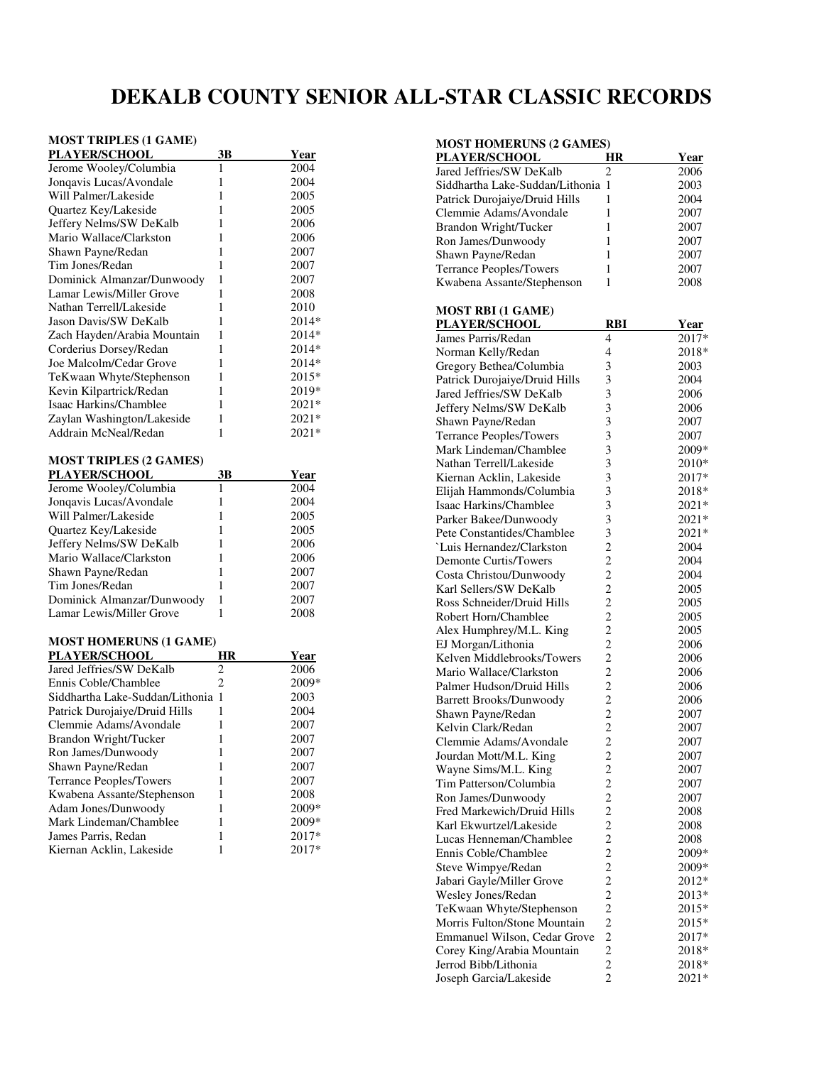# **DEKALB COUNTY SENIOR ALL-STAR CLASSIC RECORDS**

### **MOST TRIPLES (1 GAME)**

| <b>PLAYER/SCHOOL</b>            | 3В             | <u>Year</u> |
|---------------------------------|----------------|-------------|
| Jerome Wooley/Columbia          | 1              | 2004        |
| Jonqavis Lucas/Avondale         | 1              | 2004        |
| Will Palmer/Lakeside            | 1              | 2005        |
| Quartez Key/Lakeside            | 1              | 2005        |
| Jeffery Nelms/SW DeKalb         | 1              | 2006        |
| Mario Wallace/Clarkston         | 1              | 2006        |
| Shawn Payne/Redan               | 1              | 2007        |
| Tim Jones/Redan                 | 1              | 2007        |
| Dominick Almanzar/Dunwoody      | 1              | 2007        |
| Lamar Lewis/Miller Grove        | 1              | 2008        |
| Nathan Terrell/Lakeside         | 1              | 2010        |
| Jason Davis/SW DeKalb           | 1              | 2014*       |
| Zach Hayden/Arabia Mountain     | 1              | 2014*       |
| Corderius Dorsey/Redan          | 1              | 2014*       |
| Joe Malcolm/Cedar Grove         | 1              | 2014*       |
| TeKwaan Whyte/Stephenson        | 1              | 2015*       |
| Kevin Kilpartrick/Redan         | 1              | 2019*       |
| Isaac Harkins/Chamblee          | 1              | 2021*       |
| Zaylan Washington/Lakeside      | 1              | 2021*       |
| Addrain McNeal/Redan            | 1              | 2021*       |
|                                 |                |             |
| <b>MOST TRIPLES (2 GAMES)</b>   |                |             |
| PLAYER/SCHOOL                   | 3B             | <b>Year</b> |
| Jerome Wooley/Columbia          | 1              | 2004        |
| Jonqavis Lucas/Avondale         | 1              | 2004        |
| Will Palmer/Lakeside            | 1              | 2005        |
| Quartez Key/Lakeside            | 1              | 2005        |
| Jeffery Nelms/SW DeKalb         | 1              | 2006        |
| Mario Wallace/Clarkston         | 1              | 2006        |
| Shawn Payne/Redan               | 1              | 2007        |
| Tim Jones/Redan                 | 1              | 2007        |
| Dominick Almanzar/Dunwoody      | 1              | 2007        |
| Lamar Lewis/Miller Grove        | 1              | 2008        |
|                                 |                |             |
| <b>MOST HOMERUNS (1 GAME)</b>   |                |             |
| PLAYER/SCHOOL                   | HR             | <u>Year</u> |
| Jared Jeffries/SW DeKalb        | 2              | 2006        |
| Ennis Coble/Chamblee            | $\overline{2}$ | 2009*       |
| Siddhartha Lake-Suddan/Lithonia | 1              | 2003        |
| Patrick Durojaiye/Druid Hills   | 1              | 2004        |
| Clemmie Adams/Avondale          | 1              | 2007        |
| Brandon Wright/Tucker           | 1              | 2007        |
| Ron James/Dunwoody              | 1              | 2007        |
| Shawn Payne/Redan               | 1              | 2007        |
| <b>Terrance Peoples/Towers</b>  | 1              | 2007        |
| Kwabena Assante/Stephenson      | 1              | 2008        |
| Adam Jones/Dunwoody             | 1              | 2009*       |
| Mark Lindeman/Chamblee          | 1              | 2009*       |
| James Parris, Redan             | 1              | 2017*       |
|                                 |                |             |

Kiernan Acklin, Lakeside 1 2017\*

| <b>MOST HOMERUNS (2 GAMES)</b>  |                                           |         |  |
|---------------------------------|-------------------------------------------|---------|--|
| <b>PLAYER/SCHOOL</b>            | <b>HR</b>                                 | Year    |  |
| Jared Jeffries/SW DeKalb        | 2                                         | 2006    |  |
| Siddhartha Lake-Suddan/Lithonia | 1                                         | 2003    |  |
| Patrick Durojaiye/Druid Hills   | 1                                         | 2004    |  |
| Clemmie Adams/Avondale          | 1                                         | 2007    |  |
| Brandon Wright/Tucker           | 1                                         | 2007    |  |
| Ron James/Dunwoody              | 1                                         | 2007    |  |
|                                 | 1                                         | 2007    |  |
| Shawn Payne/Redan               | 1                                         | 2007    |  |
| Terrance Peoples/Towers         | 1                                         |         |  |
| Kwabena Assante/Stephenson      |                                           | 2008    |  |
|                                 |                                           |         |  |
| <b>MOST RBI (1 GAME)</b>        |                                           |         |  |
| <b>PLAYER/SCHOOL</b>            | RBI                                       | Year    |  |
| James Parris/Redan              | 4                                         | 2017*   |  |
| Norman Kelly/Redan              | $\overline{4}$                            | 2018*   |  |
| Gregory Bethea/Columbia         | 3                                         | 2003    |  |
| Patrick Durojaiye/Druid Hills   | 3                                         | 2004    |  |
| Jared Jeffries/SW DeKalb        | 3                                         | 2006    |  |
| Jeffery Nelms/SW DeKalb         | 3                                         | 2006    |  |
| Shawn Payne/Redan               | 3                                         | 2007    |  |
| <b>Terrance Peoples/Towers</b>  | 3                                         | 2007    |  |
| Mark Lindeman/Chamblee          | 3                                         | 2009*   |  |
| Nathan Terrell/Lakeside         | 3                                         | 2010*   |  |
| Kiernan Acklin, Lakeside        | 3                                         | 2017*   |  |
| Elijah Hammonds/Columbia        | 3                                         | 2018*   |  |
| Isaac Harkins/Chamblee          | 3                                         | 2021*   |  |
| Parker Bakee/Dunwoody           | 3                                         | $2021*$ |  |
| Pete Constantides/Chamblee      | 3                                         | 2021*   |  |
| `Luis Hernandez/Clarkston       | $\overline{c}$                            | 2004    |  |
| <b>Demonte Curtis/Towers</b>    |                                           | 2004    |  |
| Costa Christou/Dunwoody         | $\frac{2}{2}$                             | 2004    |  |
| Karl Sellers/SW DeKalb          |                                           | 2005    |  |
| Ross Schneider/Druid Hills      | $\frac{2}{2}$                             | 2005    |  |
| Robert Horn/Chamblee            | $\overline{c}$                            | 2005    |  |
| Alex Humphrey/M.L. King         | $\overline{c}$                            | 2005    |  |
| EJ Morgan/Lithonia              | $\overline{c}$                            | 2006    |  |
| Kelven Middlebrooks/Towers      | $\overline{c}$                            | 2006    |  |
| Mario Wallace/Clarkston         | $\overline{c}$                            | 2006    |  |
| Palmer Hudson/Druid Hills       | $\overline{c}$                            |         |  |
|                                 | $\overline{c}$                            | 2006    |  |
| <b>Barrett Brooks/Dunwoody</b>  |                                           | 2006    |  |
| Shawn Payne/Redan               | $\overline{\mathbf{c}}$<br>$\overline{2}$ | 2007    |  |
| Kelvin Clark/Redan              |                                           | 2007    |  |
| Clemmie Adams/Avondale          | $\overline{z}$                            | 2007    |  |
| Jourdan Mott/M.L. King          | $\overline{c}$                            | 2007    |  |
| Wayne Sims/M.L. King            | $\overline{c}$                            | 2007    |  |
| Tim Patterson/Columbia          | $\overline{c}$                            | 2007    |  |
| Ron James/Dunwoody              | $\overline{c}$                            | 2007    |  |
| Fred Markewich/Druid Hills      | $\overline{c}$                            | 2008    |  |
| Karl Ekwurtzel/Lakeside         | $\overline{c}$                            | 2008    |  |
| Lucas Henneman/Chamblee         | $\frac{2}{2}$                             | 2008    |  |
| Ennis Coble/Chamblee            |                                           | 2009*   |  |
| Steve Wimpye/Redan              | $\overline{\mathbf{c}}$                   | 2009*   |  |
| Jabari Gayle/Miller Grove       | $\overline{c}$                            | 2012*   |  |
| Wesley Jones/Redan              | $\overline{c}$                            | 2013*   |  |
| TeKwaan Whyte/Stephenson        | $\overline{c}$                            | 2015*   |  |
| Morris Fulton/Stone Mountain    | $\overline{c}$                            | 2015*   |  |
| Emmanuel Wilson, Cedar Grove    | $\overline{c}$                            | 2017*   |  |
| Corey King/Arabia Mountain      | $\overline{c}$                            | 2018*   |  |
| Jerrod Bibb/Lithonia            | $\overline{c}$                            | 2018*   |  |
| Joseph Garcia/Lakeside          | $\overline{2}$                            | 2021*   |  |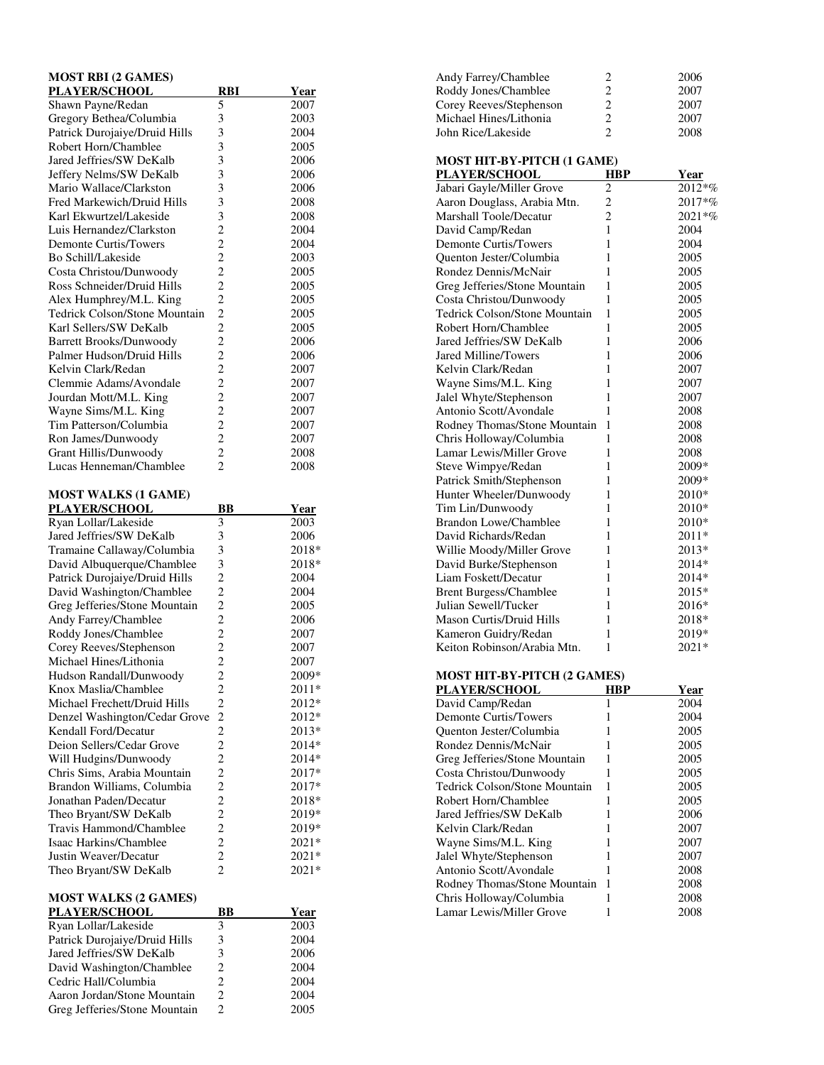| <b>MOST RBI (2 GAMES)</b>                                |                         |             |
|----------------------------------------------------------|-------------------------|-------------|
| <u>PLAYER/SCHOOL</u>                                     | RBI                     | <b>Year</b> |
| Shawn Payne/Redan                                        | 5                       | 2007        |
| Gregory Bethea/Columbia                                  | 3                       | 2003        |
| Patrick Durojaiye/Druid Hills                            | 3                       | 2004        |
| Robert Horn/Chamblee                                     | 3                       | 2005        |
| Jared Jeffries/SW DeKalb                                 | 3                       | 2006        |
| Jeffery Nelms/SW DeKalb                                  | 3                       | 2006        |
| Mario Wallace/Clarkston                                  | 3                       | 2006        |
| Fred Markewich/Druid Hills                               | 3                       | 2008        |
| Karl Ekwurtzel/Lakeside                                  | 3                       | 2008        |
| Luis Hernandez/Clarkston                                 | $\overline{c}$          | 2004        |
| <b>Demonte Curtis/Towers</b>                             | $\overline{c}$          | 2004        |
| Bo Schill/Lakeside                                       | $\overline{c}$          | 2003        |
| Costa Christou/Dunwoody                                  | $\overline{c}$          | 2005        |
| Ross Schneider/Druid Hills                               | $\overline{c}$          | 2005        |
|                                                          | $\overline{c}$          |             |
| Alex Humphrey/M.L. King<br>Tedrick Colson/Stone Mountain | $\overline{c}$          | 2005        |
|                                                          |                         | 2005        |
| Karl Sellers/SW DeKalb                                   | $\overline{c}$          | 2005        |
| <b>Barrett Brooks/Dunwoody</b>                           | $\overline{c}$          | 2006        |
| Palmer Hudson/Druid Hills                                | $\overline{2}$          | 2006        |
| Kelvin Clark/Redan                                       | $\overline{c}$          | 2007        |
| Clemmie Adams/Avondale                                   | $\overline{c}$          | 2007        |
| Jourdan Mott/M.L. King                                   | $\overline{c}$          | 2007        |
| Wayne Sims/M.L. King                                     | $\overline{c}$          | 2007        |
| Tim Patterson/Columbia                                   | $\overline{c}$          | 2007        |
| Ron James/Dunwoody                                       | $\overline{c}$          | 2007        |
| Grant Hillis/Dunwoody                                    | $\overline{c}$          | 2008        |
| Lucas Henneman/Chamblee                                  | $\overline{c}$          | 2008        |
|                                                          |                         |             |
| <b>MOST WALKS (1 GAME)</b>                               |                         |             |
| <b>PLAYER/SCHOOL</b>                                     | BВ                      | Year        |
| Ryan Lollar/Lakeside                                     | 3                       | 2003        |
| Jared Jeffries/SW DeKalb                                 | 3                       | 2006        |
| Tramaine Callaway/Columbia                               | 3                       | 2018*       |
| David Albuquerque/Chamblee                               | 3                       | 2018*       |
| Patrick Durojaiye/Druid Hills                            | $\overline{c}$          | 2004        |
| David Washington/Chamblee                                | $\overline{c}$          | 2004        |
| Greg Jefferies/Stone Mountain                            | $\overline{c}$          | 2005        |
| Andy Farrey/Chamblee                                     | $\overline{c}$          | 2006        |
| Roddy Jones/Chamblee                                     | $\overline{c}$          | 2007        |
| Corey Reeves/Stephenson                                  | $\overline{c}$          | 2007        |
| Michael Hines/Lithonia                                   | $\overline{c}$          | 2007        |
| Hudson Randall/Dunwoody                                  | $\overline{c}$          | 2009*       |
| Knox Maslia/Chamblee                                     | $\overline{c}$          | 2011*       |
| Michael Frechett/Druid Hills                             | $\frac{1}{2}$           | 2012*       |
| Denzel Washington/Cedar Grove                            | $\overline{c}$          | 2012*       |
| Kendall Ford/Decatur                                     | $\overline{c}$          | 2013*       |
| Deion Sellers/Cedar Grove                                | $\overline{c}$          | 2014*       |
| Will Hudgins/Dunwoody                                    | $\overline{c}$          | 2014*       |
| Chris Sims, Arabia Mountain                              | $\overline{c}$          | 2017*       |
| Brandon Williams, Columbia                               | $\overline{c}$          | 2017*       |
| Jonathan Paden/Decatur                                   | $\overline{c}$          | 2018*       |
| Theo Bryant/SW DeKalb                                    | $\overline{\mathbf{c}}$ | 2019*       |
|                                                          | $\overline{c}$          |             |
| Travis Hammond/Chamblee                                  | $\overline{c}$          | 2019*       |
| Isaac Harkins/Chamblee                                   |                         | 2021*       |
| Justin Weaver/Decatur                                    | $\overline{c}$          | 2021*       |
| Theo Bryant/SW DeKalb                                    | $\overline{c}$          | 2021*       |
| <b>MOST WALKS (2 GAMES)</b>                              |                         |             |
| <b>PLAYER/SCHOOL</b>                                     | <b>BB</b>               | <u>Year</u> |
| Ryan Lollar/Lakeside                                     | 3                       | 2003        |
| Patrick Durojaiye/Druid Hills                            | 3                       | 2004        |
| Jared Jeffries/SW DeKalb                                 | 3                       | 2006        |
| David Washington/Chamblee                                | $\overline{c}$          | 2004        |
| Cedric Hall/Columbia                                     | $\overline{c}$          | 2004        |
|                                                          |                         |             |

David Washington/Chamblee 2 2004 Cedric Hall/Columbia 2 2004 Aaron Jordan/Stone Mountain 2<br>
Greg Jefferies/Stone Mountain 2 2005

Greg Jefferies/Stone Mountain

| Corey Reeves/Stephenson              | $\overline{\mathbf{c}}$ | 2007                |
|--------------------------------------|-------------------------|---------------------|
| Michael Hines/Lithonia               | $\frac{2}{2}$           | 2007                |
| John Rice/Lakeside                   |                         | 2008                |
|                                      |                         |                     |
| <b>MOST HIT-BY-PITCH (1 GAME)</b>    |                         |                     |
| <b>PLAYER/SCHOOL</b>                 | HBP                     | Year                |
| Jabari Gayle/Miller Grove            | $\overline{c}$          | 2012*%              |
| Aaron Douglass, Arabia Mtn.          | $\overline{2}$          | 2017*%              |
| Marshall Toole/Decatur               | $\overline{c}$          | 2021*%              |
| David Camp/Redan                     | 1                       | 2004                |
| <b>Demonte Curtis/Towers</b>         | 1                       | 2004                |
| <b>Ouenton Jester/Columbia</b>       | 1                       | 2005                |
| Rondez Dennis/McNair                 | 1                       | 2005                |
| Greg Jefferies/Stone Mountain        | 1                       | 2005                |
| Costa Christou/Dunwoody              | 1                       | 2005                |
| <b>Tedrick Colson/Stone Mountain</b> | 1                       | 2005                |
| Robert Horn/Chamblee                 | 1                       | 2005                |
| Jared Jeffries/SW DeKalb             | 1                       | 2006                |
| Jared Milline/Towers                 | 1                       | 2006                |
| Kelvin Clark/Redan                   | 1                       | 2007                |
| Wayne Sims/M.L. King                 | 1                       | 2007                |
| Jalel Whyte/Stephenson               | 1                       | 2007                |
| Antonio Scott/Avondale               | 1                       | 2008                |
| Rodney Thomas/Stone Mountain         | 1                       | 2008                |
| Chris Holloway/Columbia              | 1                       | 2008                |
| Lamar Lewis/Miller Grove             | 1                       | 2008                |
| Steve Wimpye/Redan                   | 1                       | 2009*               |
| Patrick Smith/Stephenson             | 1                       | 2009*               |
| Hunter Wheeler/Dunwoody              | 1                       | 2010*               |
| Tim Lin/Dunwoody                     | 1                       | 2010*               |
| Brandon Lowe/Chamblee                | 1                       | 2010*               |
| David Richards/Redan                 | 1                       | 2011*               |
| Willie Moody/Miller Grove            | 1                       | 2013*               |
| David Burke/Stephenson               | 1                       | 2014*               |
| Liam Foskett/Decatur                 | 1                       | 2014*               |
| <b>Brent Burgess/Chamblee</b>        | 1                       | 2015*               |
| Julian Sewell/Tucker                 | 1                       | 2016*               |
| <b>Mason Curtis/Druid Hills</b>      | 1                       | 2018*               |
| Kameron Guidry/Redan                 | 1                       | 2019*               |
| Keiton Robinson/Arabia Mtn.          | 1                       | 2021*               |
| <b>MOST HIT-BY-PITCH (2 GAMES)</b>   |                         |                     |
| <b>PLAYER/SCHOOL</b>                 | HBP                     |                     |
| David Camp/Redan                     | 1                       | <u>Year</u><br>2004 |
|                                      |                         |                     |

Andy Farrey/Chamblee 2 2006 Roddy Jones/Chamblee 2 2007

| <b>FLAILKSUNUUL</b>                  | пвr | 1 ear |
|--------------------------------------|-----|-------|
| David Camp/Redan                     |     | 2004  |
| <b>Demonte Curtis/Towers</b>         |     | 2004  |
| Quenton Jester/Columbia              |     | 2005  |
| Rondez Dennis/McNair                 |     | 2005  |
| Greg Jefferies/Stone Mountain        |     | 2005  |
| Costa Christou/Dunwoody              |     | 2005  |
| <b>Tedrick Colson/Stone Mountain</b> |     | 2005  |
| Robert Horn/Chamblee                 |     | 2005  |
| Jared Jeffries/SW DeKalb             |     | 2006  |
| Kelvin Clark/Redan                   |     | 2007  |
| Wayne Sims/M.L. King                 |     | 2007  |
| Jalel Whyte/Stephenson               |     | 2007  |
| Antonio Scott/Avondale               |     | 2008  |
| Rodney Thomas/Stone Mountain         | 1   | 2008  |
| Chris Holloway/Columbia              |     | 2008  |
| Lamar Lewis/Miller Grove             |     | 2008  |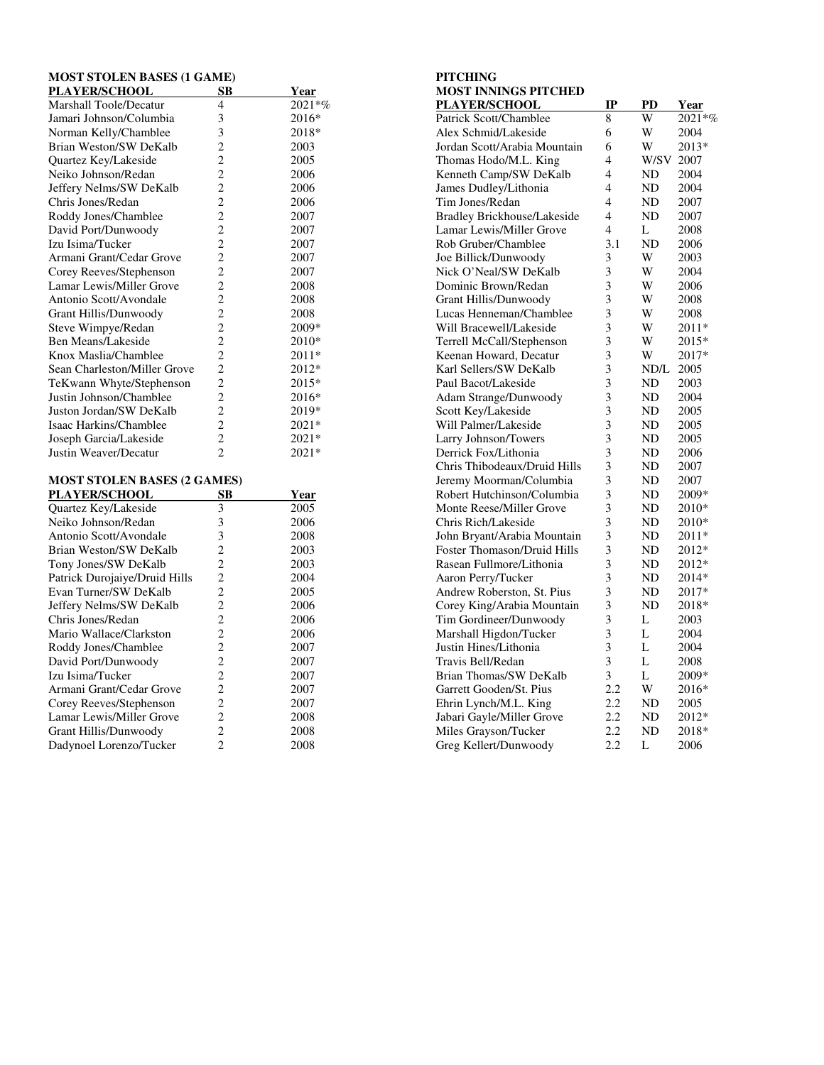# **MOST STOLEN BASES (1 GAME)**

| <b>PLAYER/SCHOOL</b>         | SВ                      | Year        |
|------------------------------|-------------------------|-------------|
| Marshall Toole/Decatur       | 4                       | $2021 * \%$ |
| Jamari Johnson/Columbia      | 3                       | 2016*       |
| Norman Kelly/Chamblee        | 3                       | 2018*       |
| Brian Weston/SW DeKalb       | 2                       | 2003        |
| Quartez Key/Lakeside         | $\overline{c}$          | 2005        |
| Neiko Johnson/Redan          | $\overline{c}$          | 2006        |
| Jeffery Nelms/SW DeKalb      | $\overline{c}$          | 2006        |
| Chris Jones/Redan            | $\overline{c}$          | 2006        |
| Roddy Jones/Chamblee         | $\overline{c}$          | 2007        |
| David Port/Dunwoody          | $\overline{c}$          | 2007        |
| Izu Isima/Tucker             | $\overline{c}$          | 2007        |
| Armani Grant/Cedar Grove     | $\overline{c}$          | 2007        |
| Corey Reeves/Stephenson      | $\overline{c}$          | 2007        |
| Lamar Lewis/Miller Grove     | $\overline{c}$          | 2008        |
| Antonio Scott/Avondale       | $\overline{c}$          | 2008        |
| Grant Hillis/Dunwoody        | $\overline{c}$          | 2008        |
| Steve Wimpye/Redan           | $\overline{c}$          | 2009*       |
| Ben Means/Lakeside           | $\overline{c}$          | 2010*       |
| Knox Maslia/Chamblee         | $\overline{c}$          | 2011*       |
| Sean Charleston/Miller Grove | $\overline{2}$          | 2012*       |
| TeKwann Whyte/Stephenson     | $\overline{\mathbf{c}}$ | 2015*       |
| Justin Johnson/Chamblee      | $\overline{c}$          | 2016*       |
| Juston Jordan/SW DeKalb      | $\overline{2}$          | 2019*       |
| Isaac Harkins/Chamblee       | 2                       | 2021*       |
| Joseph Garcia/Lakeside       | 2                       | 2021*       |
| Justin Weaver/Decatur        | $\overline{2}$          | $2021*$     |
|                              |                         |             |

## **MOST STOLEN BASES (2 GAMES)**

| PLAYER/SCHOOL                 | SВ | <b>Year</b> |
|-------------------------------|----|-------------|
| <b>Ouartez Key/Lakeside</b>   | 3  | 2005        |
| Neiko Johnson/Redan           | 3  | 2006        |
| Antonio Scott/Avondale        | 3  | 2008        |
| Brian Weston/SW DeKalb        | 2  | 2003        |
| Tony Jones/SW DeKalb          | 2  | 2003        |
| Patrick Durojaiye/Druid Hills | 2  | 2004        |
| Evan Turner/SW DeKalb         | 2  | 2005        |
| Jeffery Nelms/SW DeKalb       | 2  | 2006        |
| Chris Jones/Redan             | 2  | 2006        |
| Mario Wallace/Clarkston       | 2  | 2006        |
| Roddy Jones/Chamblee          | 2  | 2007        |
| David Port/Dunwoody           | 2  | 2007        |
| Izu Isima/Tucker              | 2  | 2007        |
| Armani Grant/Cedar Grove      | 2  | 2007        |
| Corey Reeves/Stephenson       | 2  | 2007        |
| Lamar Lewis/Miller Grove      | 2  | 2008        |
| Grant Hillis/Dunwoody         | 2  | 2008        |
| Dadynoel Lorenzo/Tucker       | 2  | 2008        |
|                               |    |             |

# **PITCHING MOST INNINGS PITCHED**

| <b>PLAYER/SCHOOL</b>               | IP             | PD   | Year   |
|------------------------------------|----------------|------|--------|
| <b>Patrick Scott/Chamblee</b>      | 8              | W    | 2021*% |
| Alex Schmid/Lakeside               | 6              | W    | 2004   |
| Jordan Scott/Arabia Mountain       | 6              | W    | 2013*  |
| Thomas Hodo/M.L. King              | $\overline{4}$ | W/SV | 2007   |
| Kenneth Camp/SW DeKalb             | 4              | ND   | 2004   |
| James Dudley/Lithonia              | 4              | ND   | 2004   |
| Tim Jones/Redan                    | $\overline{4}$ | ND   | 2007   |
| <b>Bradley Brickhouse/Lakeside</b> | $\overline{4}$ | ND   | 2007   |
| Lamar Lewis/Miller Grove           | $\overline{4}$ | L    | 2008   |
| Rob Gruber/Chamblee                | 3.1            | ND   | 2006   |
| Joe Billick/Dunwoody               | 3              | W    | 2003   |
| Nick O'Neal/SW DeKalb              | 3              | W    | 2004   |
| Dominic Brown/Redan                | 3              | W    | 2006   |
| <b>Grant Hillis/Dunwoody</b>       | 3              | W    | 2008   |
| Lucas Henneman/Chamblee            | 3              | W    | 2008   |
| Will Bracewell/Lakeside            | 3              | W    | 2011*  |
| Terrell McCall/Stephenson          | 3              | W    | 2015*  |
| Keenan Howard, Decatur             | 3              | W    | 2017*  |
| Karl Sellers/SW DeKalb             | 3              | ND/L | 2005   |
| Paul Bacot/Lakeside                | 3              | ND   | 2003   |
| Adam Strange/Dunwoody              | 3              | ND   | 2004   |
| Scott Key/Lakeside                 | 3              | ND   | 2005   |
| Will Palmer/Lakeside               | 3              | ND   | 2005   |
| Larry Johnson/Towers               | 3              | ND   | 2005   |
| Derrick Fox/Lithonia               | 3              | ND   | 2006   |
| Chris Thibodeaux/Druid Hills       | 3              | ND   | 2007   |
| Jeremy Moorman/Columbia            | 3              | ND   | 2007   |
| Robert Hutchinson/Columbia         | 3              | ND   | 2009*  |
| Monte Reese/Miller Grove           | 3              | ND   | 2010*  |
| Chris Rich/Lakeside                | 3              | ND   | 2010*  |
| John Bryant/Arabia Mountain        | 3              | ND   | 2011*  |
| <b>Foster Thomason/Druid Hills</b> | 3              | ND   | 2012*  |
| Rasean Fullmore/Lithonia           | 3              | ND   | 2012*  |
| Aaron Perry/Tucker                 | 3              | ND   | 2014*  |
| Andrew Roberston, St. Pius         | 3              | ND   | 2017*  |
| Corey King/Arabia Mountain         | 3              | ND   | 2018*  |
| Tim Gordineer/Dunwoody             | 3              | L    | 2003   |
| Marshall Higdon/Tucker             | 3              | L    | 2004   |
| Justin Hines/Lithonia              | 3              | L    | 2004   |
| Travis Bell/Redan                  | 3              | L    | 2008   |
| Brian Thomas/SW DeKalb             | 3              | L    | 2009*  |
| Garrett Gooden/St. Pius            | 2.2            | W    | 2016*  |
| Ehrin Lynch/M.L. King              | 2.2            | ND   | 2005   |
| Jabari Gayle/Miller Grove          | 2.2            | ND   | 2012*  |
| Miles Grayson/Tucker               | 2.2            | ND   | 2018*  |
| Greg Kellert/Dunwoody              | 2.2            | L    | 2006   |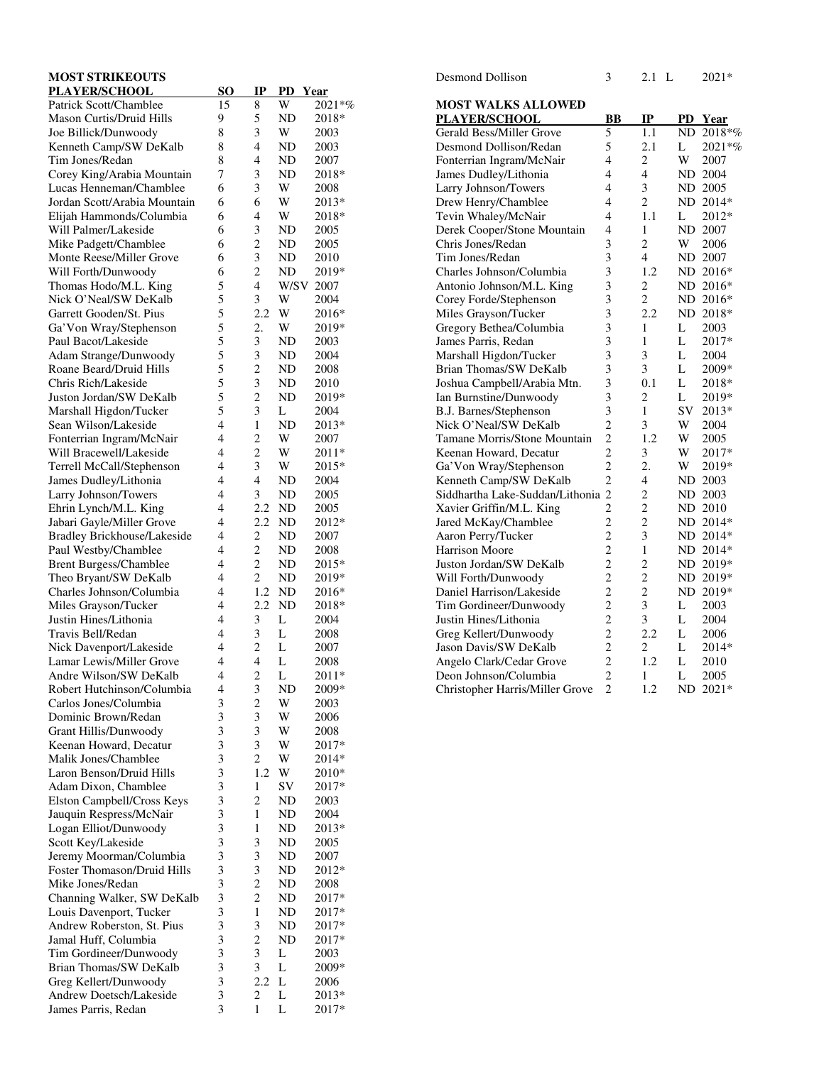| <b>MOST STRIKEOUTS</b>                                |                |                |             |        |
|-------------------------------------------------------|----------------|----------------|-------------|--------|
| PLAYER/SCHOOL                                         | <b>SO</b>      | IP             | PD Year     |        |
| Patrick Scott/Chamblee                                | 15             | 8              | W           | 2021*% |
| Mason Curtis/Druid Hills                              | 9              | 5              | ND          | 2018*  |
| Joe Billick/Dunwoody                                  | 8              | 3              | W           | 2003   |
| Kenneth Camp/SW DeKalb                                | 8              | 4              | <b>ND</b>   | 2003   |
| Tim Jones/Redan                                       | 8              | 4              | ND          | 2007   |
| Corey King/Arabia Mountain                            | 7              | 3              | <b>ND</b>   | 2018*  |
| Lucas Henneman/Chamblee                               | 6              | 3              | W           | 2008   |
| Jordan Scott/Arabia Mountain                          | 6              | 6              | W           | 2013*  |
| Elijah Hammonds/Columbia                              | 6              | $\overline{4}$ | W           | 2018*  |
| Will Palmer/Lakeside                                  | 6              | 3              | ND          | 2005   |
| Mike Padgett/Chamblee                                 | 6              | $\overline{c}$ | ND          | 2005   |
| Monte Reese/Miller Grove                              | 6              | 3              | <b>ND</b>   | 2010   |
| Will Forth/Dunwoody                                   | 6              | $\overline{c}$ | ND          | 2019*  |
| Thomas Hodo/M.L. King                                 | 5              | $\overline{4}$ | W/SV        | 2007   |
| Nick O'Neal/SW DeKalb                                 | 5              | 3              | W           | 2004   |
| Garrett Gooden/St. Pius                               | 5              | 2.2            | W           | 2016*  |
| Ga'Von Wray/Stephenson                                | 5              | 2.             | W           | 2019*  |
| Paul Bacot/Lakeside                                   | 5              | 3              | ND          | 2003   |
|                                                       | 5              | 3              | ND          | 2004   |
| Adam Strange/Dunwoody<br>Roane Beard/Druid Hills      | 5              | $\overline{c}$ | ND          | 2008   |
|                                                       |                |                |             |        |
| Chris Rich/Lakeside                                   | 5              | 3              | ND          | 2010   |
| Juston Jordan/SW DeKalb                               | 5              | $\overline{c}$ | ND          | 2019*  |
| Marshall Higdon/Tucker                                | 5              | 3              | L           | 2004   |
| Sean Wilson/Lakeside                                  | 4              | 1              | <b>ND</b>   | 2013*  |
| Fonterrian Ingram/McNair                              | 4              | $\overline{c}$ | W           | 2007   |
| Will Bracewell/Lakeside                               | 4              | $\overline{c}$ | W           | 2011*  |
| Terrell McCall/Stephenson                             | 4              | 3              | W           | 2015*  |
| James Dudley/Lithonia                                 | 4              | $\overline{4}$ | <b>ND</b>   | 2004   |
| Larry Johnson/Towers                                  | 4              | 3              | ND          | 2005   |
| Ehrin Lynch/M.L. King                                 | $\overline{4}$ | 2.2            | <b>ND</b>   | 2005   |
| Jabari Gayle/Miller Grove                             | $\overline{4}$ | 2.2            | ND          | 2012*  |
| Bradley Brickhouse/Lakeside                           | 4              | $\overline{c}$ | ND          | 2007   |
| Paul Westby/Chamblee                                  | 4              | $\overline{c}$ | ND          | 2008   |
| <b>Brent Burgess/Chamblee</b>                         | 4              | $\overline{c}$ | ND          | 2015*  |
| Theo Bryant/SW DeKalb                                 | 4              | $\overline{c}$ | ND          | 2019*  |
| Charles Johnson/Columbia                              | 4              | 1.2            | ND          | 2016*  |
| Miles Grayson/Tucker                                  | 4              | 2.2            | <b>ND</b>   | 2018*  |
| Justin Hines/Lithonia                                 | 4              | 3              | L           | 2004   |
| Travis Bell/Redan                                     | 4              | 3              | L           | 2008   |
| Nick Davenport/Lakeside                               | 4              | $\overline{c}$ | L           | 2007   |
| Lamar Lewis/Miller Grove                              | 4              | $\overline{4}$ | L           | 2008   |
| Andre Wilson/SW DeKalb                                | 4              | $\overline{c}$ | $\mathbf L$ | 2011*  |
| Robert Hutchinson/Columbia                            | 4              | 3              | ND          | 2009*  |
| Carlos Jones/Columbia                                 | 3              | $\overline{c}$ | W           | 2003   |
| Dominic Brown/Redan                                   | 3              | 3              | W           | 2006   |
| <b>Grant Hillis/Dunwoody</b>                          | 3              | 3              | W           | 2008   |
| Keenan Howard, Decatur                                | 3              | 3              | W           | 2017*  |
| Malik Jones/Chamblee                                  | 3              | $\overline{c}$ | W           | 2014*  |
| Laron Benson/Druid Hills                              | 3              | 1.2            | W           | 2010*  |
| Adam Dixon, Chamblee                                  | 3              | $\mathbf{1}$   | SV          | 2017*  |
|                                                       | 3              | $\overline{c}$ | ND          | 2003   |
| Elston Campbell/Cross Keys<br>Jauquin Respress/McNair | 3              | $\mathbf{1}$   | ND          | 2004   |
|                                                       | 3              | $\mathbf{1}$   |             |        |
| Logan Elliot/Dunwoody                                 |                |                | ND          | 2013*  |
| Scott Key/Lakeside                                    | 3              | 3              | ND          | 2005   |
| Jeremy Moorman/Columbia                               | 3              | 3              | ND          | 2007   |
| Foster Thomason/Druid Hills                           | 3              | 3              | ND          | 2012*  |
| Mike Jones/Redan                                      | 3              | $\overline{c}$ | ND          | 2008   |
| Channing Walker, SW DeKalb                            | 3              | $\overline{c}$ | ND          | 2017*  |
| Louis Davenport, Tucker                               | 3              | $\mathbf{1}$   | ND          | 2017*  |
| Andrew Roberston, St. Pius                            | 3              | 3              | ND          | 2017*  |
| Jamal Huff, Columbia                                  | 3              | $\overline{c}$ | <b>ND</b>   | 2017*  |
| Tim Gordineer/Dunwoody                                | 3              | 3              | L           | 2003   |
| Brian Thomas/SW DeKalb                                | 3              | 3              | L           | 2009*  |
| Greg Kellert/Dunwoody                                 | 3              | 2.2            | L           | 2006   |
| Andrew Doetsch/Lakeside                               | 3              | $\overline{c}$ | L           | 2013*  |
| James Parris, Redan                                   | 3              | 1              | L           | 2017*  |

| <b>MOST WALKS ALLOWED</b>       |                          |                |                |          |
|---------------------------------|--------------------------|----------------|----------------|----------|
| <b>PLAYER/SCHOOL</b>            | ВB                       | IP             |                | PD Year  |
| <b>Gerald Bess/Miller Grove</b> | 5                        | 1.1            | ND.            | 2018*%   |
| Desmond Dollison/Redan          | 5                        | 2.1            | L              | $2021*%$ |
| Fonterrian Ingram/McNair        | 4                        | $\overline{c}$ | W              | 2007     |
| James Dudley/Lithonia           | 4                        | 4              | ND             | 2004     |
| Larry Johnson/Towers            | 4                        | 3              |                | ND 2005  |
| Drew Henry/Chamblee             | $\overline{4}$           | $\overline{2}$ | ND.            | 2014*    |
| Tevin Whaley/McNair             | 4                        | 1.1            | L              | 2012*    |
| Derek Cooper/Stone Mountain     | 4                        | 1              | N <sub>D</sub> | 2007     |
| Chris Jones/Redan               | 3                        | $\overline{c}$ | W              | 2006     |
| Tim Jones/Redan                 | 3                        | $\overline{4}$ | ND             | 2007     |
| Charles Johnson/Columbia        | 3                        | 1.2            | ND             | $2016*$  |
| Antonio Johnson/M.L. King       | 3                        | 2              |                | ND 2016* |
| Corey Forde/Stephenson          | 3                        | $\overline{2}$ | ND             | 2016*    |
| Miles Grayson/Tucker            | 3                        | 2.2            | ND             | 2018*    |
| Gregory Bethea/Columbia         | 3                        | 1              | L              | 2003     |
| James Parris, Redan             | 3                        | 1              | L              | 2017*    |
| Marshall Higdon/Tucker          | 3                        | 3              | L              | 2004     |
| Brian Thomas/SW DeKalb          | 3                        | 3              | L              | 2009*    |
| Joshua Campbell/Arabia Mtn.     | 3                        | 0.1            | L              | 2018*    |
| Ian Burnstine/Dunwoody          | 3                        | $\overline{2}$ | L              | 2019*    |
| B.J. Barnes/Stephenson          | 3                        | 1              | SV             | 2013*    |
| Nick O'Neal/SW DeKalb           | $\overline{c}$           | 3              | W              | 2004     |
| Tamane Morris/Stone Mountain    | $\overline{c}$           | 1.2            | W              | 2005     |
| Keenan Howard, Decatur          | $\overline{c}$           | 3              | W              | 2017*    |
| Ga'Von Wray/Stephenson          | $\overline{2}$           | 2.             | W              | 2019*    |
| Kenneth Camp/SW DeKalb          | $\overline{c}$           | 4              | ND             | 2003     |
| Siddhartha Lake-Suddan/Lithonia | $\overline{2}$           | $\overline{2}$ | ND             | 2003     |
| Xavier Griffin/M.L. King        | $\overline{c}$           | $\overline{2}$ | ND             | 2010     |
| Jared McKay/Chamblee            | $\overline{c}$           | $\overline{c}$ | ND.            | $2014*$  |
| Aaron Perry/Tucker              | $\overline{c}$           | 3              |                | ND 2014* |
| <b>Harrison Moore</b>           | $\overline{c}$           | 1              | ND             | 2014*    |
| Juston Jordan/SW DeKalb         | $\overline{c}$           | $\overline{2}$ | ND             | $2019*$  |
| Will Forth/Dunwoody             | $\overline{c}$           | $\overline{c}$ |                | ND 2019* |
| Daniel Harrison/Lakeside        | $\overline{c}$           | $\overline{2}$ | ND.            | 2019*    |
| Tim Gordineer/Dunwoody          | $\overline{c}$           | 3              | L              | 2003     |
| Justin Hines/Lithonia           | $\overline{c}$           | 3              | L              | 2004     |
| Greg Kellert/Dunwoody           | $\overline{c}$           | 2.2            | L              | 2006     |
| Jason Davis/SW DeKalb           | $\overline{c}$           | $\overline{2}$ | L              | 2014*    |
| Angelo Clark/Cedar Grove        | $\overline{c}$           | 1.2            | L              | 2010     |
| Deon Johnson/Columbia           | $\overline{2}$           | 1              | L              | 2005     |
| Christopher Harris/Miller Grove | $\overline{\mathcal{L}}$ | 1.2            | ND.            | $2021*$  |

Desmond Dollison 3 2.1 L 2021\*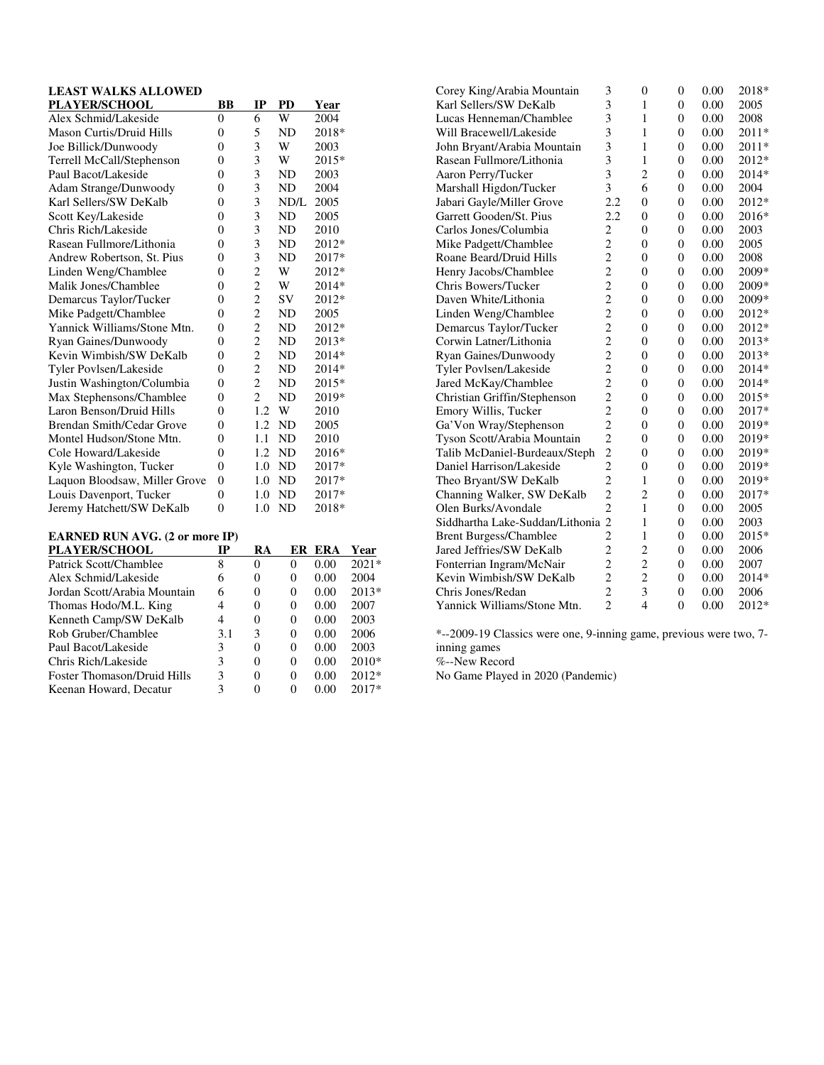## **LEAST WALKS ALLOWED**

| <b>PLAYER/SCHOOL</b>            | <b>BB</b>      | IP             | PD             | Year    |
|---------------------------------|----------------|----------------|----------------|---------|
| Alex Schmid/Lakeside            | 0              | 6              | W              | 2004    |
| <b>Mason Curtis/Druid Hills</b> | $\theta$       | 5              | ND             | 2018*   |
| Joe Billick/Dunwoody            | $\overline{0}$ | 3              | W              | 2003    |
| Terrell McCall/Stephenson       | 0              | 3              | W              | 2015*   |
| Paul Bacot/Lakeside             | $\overline{0}$ | 3              | <b>ND</b>      | 2003    |
| Adam Strange/Dunwoody           | $\overline{0}$ | 3              | ND             | 2004    |
| Karl Sellers/SW DeKalb          | $\theta$       | 3              | ND/L           | 2005    |
| Scott Key/Lakeside              | $\theta$       | 3              | N <sub>D</sub> | 2005    |
| Chris Rich/Lakeside             | $\overline{0}$ | 3              | ND             | 2010    |
| Rasean Fullmore/Lithonia        | $\overline{0}$ | 3              | ND             | 2012*   |
| Andrew Robertson, St. Pius      | 0              | 3              | <b>ND</b>      | 2017*   |
| Linden Weng/Chamblee            | 0              | $\overline{2}$ | W              | 2012*   |
| Malik Jones/Chamblee            | $\overline{0}$ | $\overline{c}$ | W              | $2014*$ |
| Demarcus Taylor/Tucker          | $\theta$       | $\overline{c}$ | SV.            | 2012*   |
| Mike Padgett/Chamblee           | 0              | $\overline{c}$ | <b>ND</b>      | 2005    |
| Yannick Williams/Stone Mtn.     | $\overline{0}$ | $\overline{c}$ | ND             | 2012*   |
| Ryan Gaines/Dunwoody            | $\overline{0}$ | $\overline{c}$ | <b>ND</b>      | 2013*   |
| Kevin Wimbish/SW DeKalb         | $\overline{0}$ | $\overline{c}$ | ND             | 2014*   |
| Tyler Povlsen/Lakeside          | $\overline{0}$ | $\overline{c}$ | <b>ND</b>      | 2014*   |
| Justin Washington/Columbia      | $\overline{0}$ | $\overline{c}$ | ND             | 2015*   |
| Max Stephensons/Chamblee        | 0              | $\overline{c}$ | N <sub>D</sub> | 2019*   |
| Laron Benson/Druid Hills        | $\theta$       | 1.2            | W              | 2010    |
| Brendan Smith/Cedar Grove       | 0              | 1.2            | <b>ND</b>      | 2005    |
| Montel Hudson/Stone Mtn.        | 0              | 1.1            | <b>ND</b>      | 2010    |
| Cole Howard/Lakeside            | $\overline{0}$ | 1.2            | <b>ND</b>      | 2016*   |
| Kyle Washington, Tucker         | $\overline{0}$ | 1.0            | <b>ND</b>      | 2017*   |
| Laquon Bloodsaw, Miller Grove   | $\overline{0}$ | 1.0            | ND             | 2017*   |
| Louis Davenport, Tucker         | $\overline{0}$ | 1.0            | ND             | 2017*   |
| Jeremy Hatchett/SW DeKalb       | $\overline{0}$ | 1.0            | ND             | 2018*   |

## **EARNED RUN AVG. (2 or more IP)**

| <b>PLAYER/SCHOOL</b>         | IР  | RA | ER. | ERA  | Year    |
|------------------------------|-----|----|-----|------|---------|
| Patrick Scott/Chamblee       | 8   | 0  | 0   | 0.00 | $2021*$ |
| Alex Schmid/Lakeside         | 6   | 0  | 0   | 0.00 | 2004    |
| Jordan Scott/Arabia Mountain | 6   | 0  | 0   | 0.00 | $2013*$ |
| Thomas Hodo/M.L. King        | 4   | 0  | 0   | 0.00 | 2007    |
| Kenneth Camp/SW DeKalb       | 4   | 0  | 0   | 0.00 | 2003    |
| Rob Gruber/Chamblee          | 3.1 | 3  | 0   | 0.00 | 2006    |
| Paul Bacot/Lakeside          | 3   | 0  | 0   | 0.00 | 2003    |
| Chris Rich/Lakeside          | 3   | 0  | 0   | 0.00 | $2010*$ |
| Foster Thomason/Druid Hills  | 3   | 0  | 0   | 0.00 | $2012*$ |
| Keenan Howard, Decatur       | 3   | 0  | 0   | 0.00 | $2017*$ |

| Corey King/Arabia Mountain      | 3                        | 0              | 0              | 0.00 | 2018* |
|---------------------------------|--------------------------|----------------|----------------|------|-------|
| Karl Sellers/SW DeKalb          | 3                        | 1              | $\theta$       | 0.00 | 2005  |
| Lucas Henneman/Chamblee         | 3                        | 1              | $\theta$       | 0.00 | 2008  |
| Will Bracewell/Lakeside         | 3                        | 1              | 0              | 0.00 | 2011* |
| John Bryant/Arabia Mountain     | 3                        | 1              | $\theta$       | 0.00 | 2011* |
| Rasean Fullmore/Lithonia        | 3                        | 1              | $\overline{0}$ | 0.00 | 2012* |
| Aaron Perry/Tucker              | 3                        | $\overline{2}$ | 0              | 0.00 | 2014* |
| Marshall Higdon/Tucker          | 3                        | 6              | $\overline{0}$ | 0.00 | 2004  |
| Jabari Gayle/Miller Grove       | 2.2                      | $\theta$       | $\overline{0}$ | 0.00 | 2012* |
| Garrett Gooden/St. Pius         | 2.2                      | $\theta$       | $\theta$       | 0.00 | 2016* |
| Carlos Jones/Columbia           | $\overline{c}$           | $\overline{0}$ | $\overline{0}$ | 0.00 | 2003  |
| Mike Padgett/Chamblee           | $\overline{2}$           | $\theta$       | $\theta$       | 0.00 | 2005  |
| Roane Beard/Druid Hills         | $\overline{2}$           | $\overline{0}$ | $\overline{0}$ | 0.00 | 2008  |
| Henry Jacobs/Chamblee           | $\overline{2}$           | $\theta$       | $\theta$       | 0.00 | 2009* |
| Chris Bowers/Tucker             | $\overline{2}$           | $\theta$       | $\theta$       | 0.00 | 2009* |
| Daven White/Lithonia            | $\overline{c}$           | $\overline{0}$ | $\overline{0}$ | 0.00 | 2009* |
| Linden Weng/Chamblee            | $\overline{c}$           | $\theta$       | $\theta$       | 0.00 | 2012* |
| Demarcus Taylor/Tucker          | $\overline{c}$           | $\overline{0}$ | $\theta$       | 0.00 | 2012* |
| Corwin Latner/Lithonia          | $\overline{2}$           | $\theta$       | $\theta$       | 0.00 | 2013* |
| Ryan Gaines/Dunwoody            | $\overline{c}$           | $\overline{0}$ | $\theta$       | 0.00 | 2013* |
| Tyler Povlsen/Lakeside          | $\overline{c}$           | $\theta$       | $\theta$       | 0.00 | 2014* |
| Jared McKay/Chamblee            | $\overline{2}$           | $\overline{0}$ | $\overline{0}$ | 0.00 | 2014* |
| Christian Griffin/Stephenson    | $\overline{2}$           | $\theta$       | $\theta$       | 0.00 | 2015* |
| Emory Willis, Tucker            | $\overline{2}$           | $\overline{0}$ | $\overline{0}$ | 0.00 | 2017* |
| Ga' Von Wray/Stephenson         | $\overline{c}$           | $\overline{0}$ | $\overline{0}$ | 0.00 | 2019* |
| Tyson Scott/Arabia Mountain     | $\overline{c}$           | $\theta$       | $\theta$       | 0.00 | 2019* |
| Talib McDaniel-Burdeaux/Steph   | $\overline{c}$           | $\overline{0}$ | $\overline{0}$ | 0.00 | 2019* |
| Daniel Harrison/Lakeside        | $\overline{c}$           | $\theta$       | $\theta$       | 0.00 | 2019* |
| Theo Bryant/SW DeKalb           | $\overline{c}$           | 1              | $\overline{0}$ | 0.00 | 2019* |
| Channing Walker, SW DeKalb      | $\overline{2}$           | $\overline{c}$ | $\theta$       | 0.00 | 2017* |
| Olen Burks/Avondale             | $\overline{\mathcal{L}}$ | 1              | $\overline{0}$ | 0.00 | 2005  |
| Siddhartha Lake-Suddan/Lithonia | $\overline{2}$           | 1              | $\theta$       | 0.00 | 2003  |
| <b>Brent Burgess/Chamblee</b>   | $\overline{c}$           | 1              | $\overline{0}$ | 0.00 | 2015* |
| Jared Jeffries/SW DeKalb        | $\overline{c}$           | $\overline{c}$ | $\overline{0}$ | 0.00 | 2006  |
| Fonterrian Ingram/McNair        | $\overline{c}$           | $\overline{c}$ | $\theta$       | 0.00 | 2007  |
| Kevin Wimbish/SW DeKalb         | $\overline{c}$           | $\overline{c}$ | $\overline{0}$ | 0.00 | 2014* |
| Chris Jones/Redan               | $\overline{c}$           | 3              | $\theta$       | 0.00 | 2006  |
| Yannick Williams/Stone Mtn.     | $\overline{2}$           | $\overline{4}$ | $\overline{0}$ | 0.00 | 2012* |
|                                 |                          |                |                |      |       |

\*--2009-19 Classics were one, 9-inning game, previous were two, 7 inning games

%--New Record

No Game Played in 2020 (Pandemic)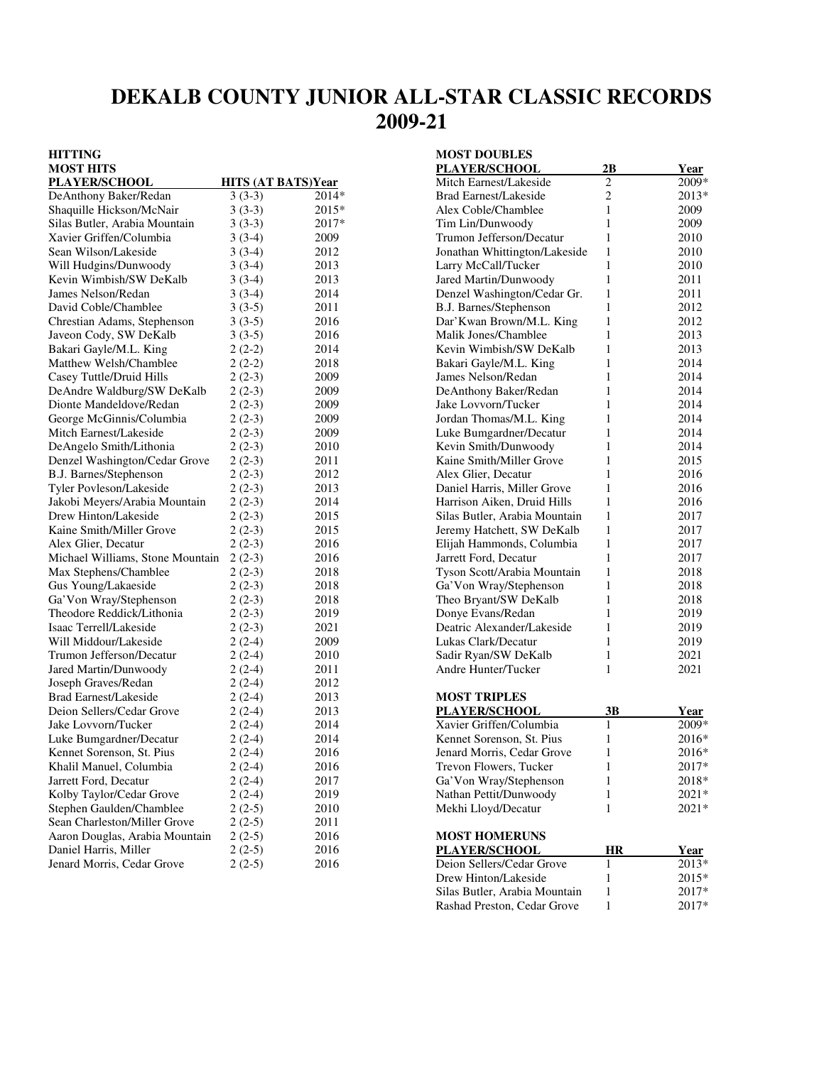# **DEKALB COUNTY JUNIOR ALL-STAR CLASSIC RECORDS 2009-21**

## **HITTING**

| <b>MOST HITS</b>                                    |                           |       |
|-----------------------------------------------------|---------------------------|-------|
| PLAYER/SCHOOL                                       | <b>HITS (AT BATS)Year</b> |       |
| DeAnthony Baker/Redan                               | $3(3-3)$                  | 2014* |
| Shaquille Hickson/McNair                            | $3(3-3)$                  | 2015* |
| Silas Butler, Arabia Mountain                       | $3(3-3)$                  | 2017* |
| Xavier Griffen/Columbia                             | $3(3-4)$                  | 2009  |
| Sean Wilson/Lakeside                                | $3(3-4)$                  | 2012  |
| Will Hudgins/Dunwoody                               | $3(3-4)$                  | 2013  |
| Kevin Wimbish/SW DeKalb                             | $3(3-4)$                  | 2013  |
| James Nelson/Redan                                  | $3(3-4)$                  | 2014  |
| David Coble/Chamblee                                | $3(3-5)$                  | 2011  |
| Chrestian Adams, Stephenson                         | $3(3-5)$                  | 2016  |
| Javeon Cody, SW DeKalb                              | $3(3-5)$                  | 2016  |
| Bakari Gayle/M.L. King                              | $2(2-2)$                  | 2014  |
| Matthew Welsh/Chamblee                              | $2(2-2)$                  | 2018  |
| Casey Tuttle/Druid Hills                            | $2(2-3)$                  | 2009  |
| DeAndre Waldburg/SW DeKalb                          | $2(2-3)$                  | 2009  |
| Dionte Mandeldove/Redan                             | $2(2-3)$                  | 2009  |
| George McGinnis/Columbia                            | $2(2-3)$                  | 2009  |
| Mitch Earnest/Lakeside                              | $2(2-3)$                  | 2009  |
| DeAngelo Smith/Lithonia                             | $2(2-3)$                  | 2010  |
| Denzel Washington/Cedar Grove                       | $2(2-3)$                  | 2011  |
| B.J. Barnes/Stephenson                              | $2(2-3)$                  | 2012  |
| Tyler Povleson/Lakeside                             | $2(2-3)$                  | 2013  |
| Jakobi Meyers/Arabia Mountain                       | $2(2-3)$                  | 2014  |
| Drew Hinton/Lakeside                                | $2(2-3)$                  | 2015  |
| Kaine Smith/Miller Grove                            | $2(2-3)$                  | 2015  |
| Alex Glier, Decatur                                 | $2(2-3)$                  | 2016  |
| Michael Williams, Stone Mountain                    | $2(2-3)$                  | 2016  |
| Max Stephens/Chamblee                               | $2(2-3)$                  | 2018  |
| Gus Young/Lakaeside                                 | $2(2-3)$                  | 2018  |
| Ga'Von Wray/Stephenson                              | $2(2-3)$                  | 2018  |
| Theodore Reddick/Lithonia                           | $2(2-3)$                  | 2019  |
| Isaac Terrell/Lakeside                              | $2(2-3)$                  | 2021  |
| Will Middour/Lakeside                               | $2(2-4)$                  | 2009  |
| Trumon Jefferson/Decatur                            | $2(2-4)$                  | 2010  |
| Jared Martin/Dunwoody                               | $2(2-4)$                  | 2011  |
|                                                     | $2(2-4)$                  | 2012  |
| Joseph Graves/Redan<br><b>Brad Earnest/Lakeside</b> | $2(2-4)$                  | 2013  |
| Deion Sellers/Cedar Grove                           | $2(2-4)$                  | 2013  |
| Jake Lovvorn/Tucker                                 | $2(2-4)$                  | 2014  |
|                                                     |                           |       |
| Luke Bumgardner/Decatur                             | $2(2-4)$                  | 2014  |
| Kennet Sorenson, St. Pius                           | $2(2-4)$                  | 2016  |
| Khalil Manuel, Columbia                             | $2(2-4)$                  | 2016  |
| Jarrett Ford, Decatur                               | $2(2-4)$                  | 2017  |
| Kolby Taylor/Cedar Grove                            | $2(2-4)$                  | 2019  |
| Stephen Gaulden/Chamblee                            | $2(2-5)$                  | 2010  |
| Sean Charleston/Miller Grove                        | $2(2-5)$                  | 2011  |
| Aaron Douglas, Arabia Mountain                      | $2(2-5)$                  | 2016  |
| Daniel Harris, Miller                               | $2(2-5)$                  | 2016  |
| Jenard Morris, Cedar Grove                          | $2(2-5)$                  | 2016  |

| <b>MOST DOUBLES</b>           |              |       |
|-------------------------------|--------------|-------|
| <u>PLAYER/SCHOOL</u>          | 2В           | Year  |
| Mitch Earnest/Lakeside        | 2            | 2009* |
| <b>Brad Earnest/Lakeside</b>  | 2            | 2013* |
| Alex Coble/Chamblee           | 1            | 2009  |
| Tim Lin/Dunwoody              | 1            | 2009  |
| Trumon Jefferson/Decatur      | 1            | 2010  |
| Jonathan Whittington/Lakeside | 1            | 2010  |
| Larry McCall/Tucker           | 1            | 2010  |
| Jared Martin/Dunwoody         | 1            | 2011  |
| Denzel Washington/Cedar Gr.   | 1            | 2011  |
| <b>B.J. Barnes/Stephenson</b> | 1            | 2012  |
| Dar'Kwan Brown/M.L. King      | 1            | 2012  |
| Malik Jones/Chamblee          | 1            | 2013  |
| Kevin Wimbish/SW DeKalb       | 1            | 2013  |
| Bakari Gayle/M.L. King        | 1            | 2014  |
| James Nelson/Redan            | 1            | 2014  |
| DeAnthony Baker/Redan         | 1            | 2014  |
| Jake Lovvorn/Tucker           | 1            | 2014  |
| Jordan Thomas/M.L. King       | 1            | 2014  |
| Luke Bumgardner/Decatur       | 1            | 2014  |
| Kevin Smith/Dunwoody          | 1            | 2014  |
| Kaine Smith/Miller Grove      | 1            | 2015  |
| Alex Glier, Decatur           | 1            | 2016  |
| Daniel Harris, Miller Grove   | 1            | 2016  |
| Harrison Aiken, Druid Hills   | 1            | 2016  |
| Silas Butler, Arabia Mountain | 1            | 2017  |
| Jeremy Hatchett, SW DeKalb    | 1            | 2017  |
| Elijah Hammonds, Columbia     | 1            | 2017  |
| Jarrett Ford, Decatur         | 1            | 2017  |
| Tyson Scott/Arabia Mountain   | 1            | 2018  |
| Ga'Von Wray/Stephenson        | 1            | 2018  |
| Theo Bryant/SW DeKalb         | 1            | 2018  |
| Donye Evans/Redan             | 1            | 2019  |
| Deatric Alexander/Lakeside    | 1            | 2019  |
| Lukas Clark/Decatur           | 1            | 2019  |
| Sadir Ryan/SW DeKalb          | $\mathbf{1}$ | 2021  |
| Andre Hunter/Tucker           | 1            | 2021  |
|                               |              |       |
| <b>MOST TRIPLES</b>           |              |       |
| PLAYER/SCHOOL                 | 3B           | Year  |
| Xavier Griffen/Columbia       | 1            | 2009* |
| Kennet Sorenson, St. Pius     | 1            | 2016* |
| Jenard Morris, Cedar Grove    | $\mathbf{1}$ | 2016* |
| Trevon Flowers, Tucker        | 1            | 2017* |
| Ga'Von Wray/Stephenson        | 1            | 2018* |
| Nathan Pettit/Dunwoody        | 1            | 2021* |
| Mekhi Lloyd/Decatur           | 1            | 2021* |
|                               |              |       |
| <b>MOST HOMERUNS</b>          |              |       |
| PLAYER/SCHOOL                 | HR           | Year  |
| Deion Sellers/Cedar Grove     | 1            | 2013* |
| Drew Hinton/Lakeside          | 1            | 2015* |
| Silas Butler, Arabia Mountain | 1            | 2017* |
| Rashad Preston, Cedar Grove   | 1            | 2017* |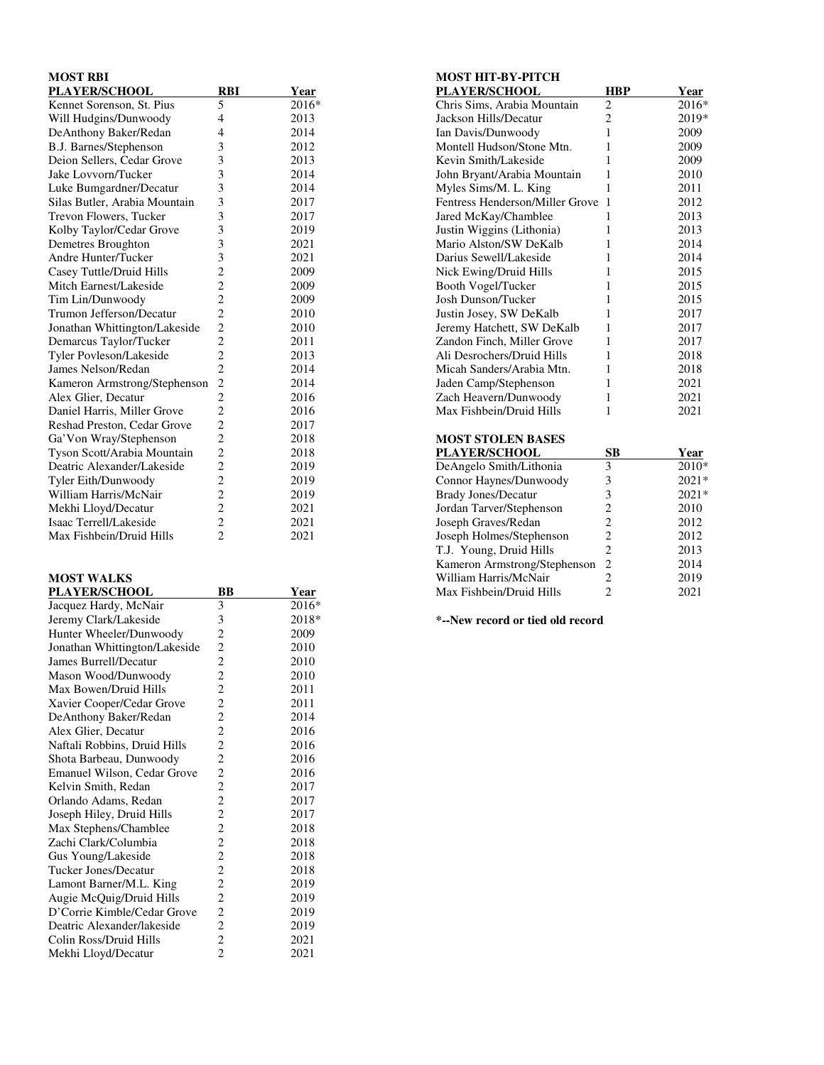| <b>MOST RBI</b>               |                         |             |
|-------------------------------|-------------------------|-------------|
| PLAYER/SCHOOL                 | <b>RBI</b>              | <u>Year</u> |
| Kennet Sorenson, St. Pius     | 5                       | 2016*       |
| Will Hudgins/Dunwoody         | 4                       | 2013        |
| DeAnthony Baker/Redan         | 4                       | 2014        |
| B.J. Barnes/Stephenson        | 3                       | 2012        |
| Deion Sellers, Cedar Grove    | 3                       | 2013        |
| Jake Lovvorn/Tucker           | 3                       | 2014        |
| Luke Bumgardner/Decatur       | 3                       | 2014        |
| Silas Butler, Arabia Mountain | 3                       | 2017        |
| Trevon Flowers, Tucker        | 3                       | 2017        |
| Kolby Taylor/Cedar Grove      | 3                       | 2019        |
| Demetres Broughton            | 3                       | 2021        |
| Andre Hunter/Tucker           | 3                       | 2021        |
| Casey Tuttle/Druid Hills      | $\overline{\mathbf{c}}$ | 2009        |
| Mitch Earnest/Lakeside        | $\overline{c}$          | 2009        |
| Tim Lin/Dunwoody              | $\overline{c}$          | 2009        |
| Trumon Jefferson/Decatur      | $\overline{c}$          | 2010        |
| Jonathan Whittington/Lakeside | $\overline{c}$          | 2010        |
| Demarcus Taylor/Tucker        | $\overline{\mathbf{c}}$ | 2011        |
| Tyler Povleson/Lakeside       | $\overline{c}$          | 2013        |
| James Nelson/Redan            | $\overline{c}$          | 2014        |
| Kameron Armstrong/Stephenson  | $\overline{c}$          | 2014        |
| Alex Glier, Decatur           | $\overline{c}$          | 2016        |
| Daniel Harris, Miller Grove   | $\overline{c}$          | 2016        |
| Reshad Preston, Cedar Grove   | $\overline{c}$          | 2017        |
| Ga' Von Wray/Stephenson       | $\overline{c}$          | 2018        |
| Tyson Scott/Arabia Mountain   | $\overline{c}$          | 2018        |
| Deatric Alexander/Lakeside    | $\overline{c}$          | 2019        |
| Tyler Eith/Dunwoody           | $\frac{2}{2}$           | 2019        |
| William Harris/McNair         |                         | 2019        |
| Mekhi Lloyd/Decatur           | $\overline{c}$          | 2021        |
| Isaac Terrell/Lakeside        | $\overline{c}$          | 2021        |
| Max Fishbein/Druid Hills      | $\overline{c}$          | 2021        |

# **MOST WALKS**

| <b>PLAYER/SCHOOL</b>          | BВ                      | Year  |
|-------------------------------|-------------------------|-------|
| Jacquez Hardy, McNair         | 3                       | 2016* |
| Jeremy Clark/Lakeside         | 3                       | 2018* |
| Hunter Wheeler/Dunwoody       | 2                       | 2009  |
| Jonathan Whittington/Lakeside | $\overline{c}$          | 2010  |
| James Burrell/Decatur         | $\overline{c}$          | 2010  |
| Mason Wood/Dunwoody           | $\overline{c}$          | 2010  |
| Max Bowen/Druid Hills         | $\overline{c}$          | 2011  |
| Xavier Cooper/Cedar Grove     | $\overline{c}$          | 2011  |
| DeAnthony Baker/Redan         | $\overline{c}$          | 2014  |
| Alex Glier, Decatur           | $\overline{c}$          | 2016  |
| Naftali Robbins, Druid Hills  | 2                       | 2016  |
| Shota Barbeau, Dunwoody       | $\overline{c}$          | 2016  |
| Emanuel Wilson, Cedar Grove   | $\overline{c}$          | 2016  |
| Kelvin Smith, Redan           | $\overline{c}$          | 2017  |
| Orlando Adams, Redan          | $\overline{c}$          | 2017  |
| Joseph Hiley, Druid Hills     | $\overline{c}$          | 2017  |
| Max Stephens/Chamblee         | $\overline{c}$          | 2018  |
| Zachi Clark/Columbia          | $\overline{c}$          | 2018  |
| Gus Young/Lakeside            | $\overline{c}$          | 2018  |
| Tucker Jones/Decatur          | $\overline{c}$          | 2018  |
| Lamont Barner/M.L. King       | $\overline{c}$          | 2019  |
| Augie McQuig/Druid Hills      | $\overline{\mathbf{c}}$ | 2019  |
| D'Corrie Kimble/Cedar Grove   | $\overline{c}$          | 2019  |
| Deatric Alexander/lakeside    | $\overline{c}$          | 2019  |
| Colin Ross/Druid Hills        | $\overline{c}$          | 2021  |
| Mekhi Lloyd/Decatur           | $\overline{2}$          | 2021  |
|                               |                         |       |

| MOST HIT-BY-PITCH               |     |              |
|---------------------------------|-----|--------------|
| <b>PLAYER/SCHOOL</b>            | HBP | Ye <u>ar</u> |
| Chris Sims, Arabia Mountain     | 2   | 2016*        |
| Jackson Hills/Decatur           | 2   | 2019*        |
| Ian Davis/Dunwoody              | 1   | 2009         |
| Montell Hudson/Stone Mtn.       | 1   | 2009         |
| Kevin Smith/Lakeside            | 1   | 2009         |
| John Bryant/Arabia Mountain     | 1   | 2010         |
| Myles Sims/M. L. King           | 1   | 2011         |
| Fentress Henderson/Miller Grove | 1   | 2012         |
| Jared McKay/Chamblee            | 1   | 2013         |
| Justin Wiggins (Lithonia)       | 1   | 2013         |
| Mario Alston/SW DeKalb          | 1   | 2014         |
| Darius Sewell/Lakeside          | 1   | 2014         |
| Nick Ewing/Druid Hills          | 1   | 2015         |
| Booth Vogel/Tucker              | 1   | 2015         |
| Josh Dunson/Tucker              | 1   | 2015         |
| Justin Josey, SW DeKalb         | 1   | 2017         |
| Jeremy Hatchett, SW DeKalb      | 1   | 2017         |
| Zandon Finch, Miller Grove      | 1   | 2017         |
| Ali Desrochers/Druid Hills      | 1   | 2018         |
| Micah Sanders/Arabia Mtn.       | 1   | 2018         |
| Jaden Camp/Stephenson           | 1   | 2021         |
| Zach Heavern/Dunwoody           | 1   | 2021         |
| Max Fishbein/Druid Hills        | 1   | 2021         |

### **MOST STOLEN BASES**

| <b>PLAYER/SCHOOL</b>         | SВ                          | Year    |
|------------------------------|-----------------------------|---------|
| DeAngelo Smith/Lithonia      | 3                           | 2010*   |
| Connor Haynes/Dunwoody       | 3                           | $2021*$ |
| <b>Brady Jones/Decatur</b>   | 3                           | $2021*$ |
| Jordan Tarver/Stephenson     | 2                           | 2010    |
| Joseph Graves/Redan          | $\mathcal{D}_{\mathcal{L}}$ | 2012    |
| Joseph Holmes/Stephenson     | 2                           | 2012    |
| T.J. Young, Druid Hills      | 2                           | 2013    |
| Kameron Armstrong/Stephenson | 2                           | 2014    |
| William Harris/McNair        | 2                           | 2019    |
| Max Fishbein/Druid Hills     |                             | 2021    |

**\*--New record or tied old record**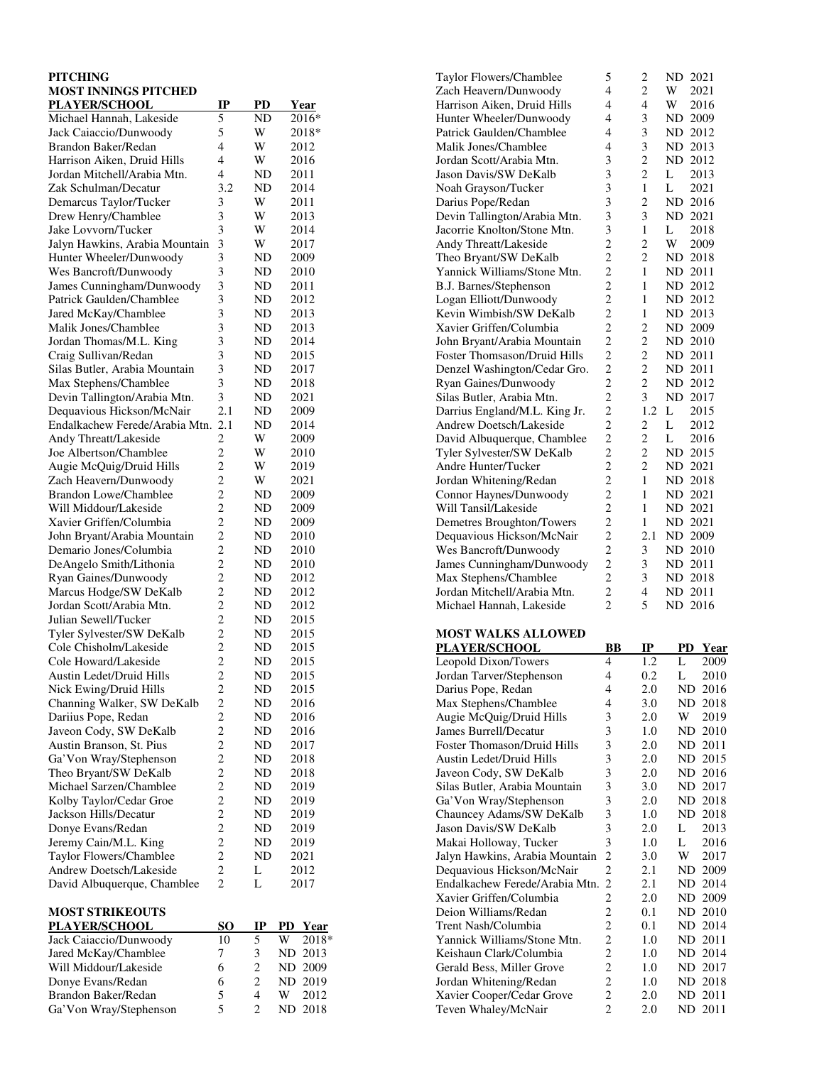## **PITCHING MOST INNINGS PITCHED**

| <b>PLAYER/SCHOOL</b>           | IP                      | PD | Year  |
|--------------------------------|-------------------------|----|-------|
| Michael Hannah, Lakeside       | 5                       | ND | 2016* |
| Jack Caiaccio/Dunwoody         | 5                       | W  | 2018* |
| Brandon Baker/Redan            | 4                       | W  | 2012  |
| Harrison Aiken, Druid Hills    | 4                       | W  | 2016  |
| Jordan Mitchell/Arabia Mtn.    | 4                       | ND | 2011  |
| Zak Schulman/Decatur           | 3.2                     | ND | 2014  |
| Demarcus Taylor/Tucker         | 3                       | W  | 2011  |
| Drew Henry/Chamblee            | 3                       | W  | 2013  |
| Jake Lovvorn/Tucker            | 3                       | W  | 2014  |
| Jalyn Hawkins, Arabia Mountain | 3                       | W  | 2017  |
| Hunter Wheeler/Dunwoody        | 3                       | ND | 2009  |
| Wes Bancroft/Dunwoody          | 3                       | ND | 2010  |
| James Cunningham/Dunwoody      | 3                       | ND | 2011  |
| Patrick Gaulden/Chamblee       | 3                       | ND | 2012  |
| Jared McKay/Chamblee           | 3                       | ND | 2013  |
| Malik Jones/Chamblee           | 3                       | ND | 2013  |
| Jordan Thomas/M.L. King        | 3                       | ND | 2014  |
| Craig Sullivan/Redan           | 3                       | ND | 2015  |
| Silas Butler, Arabia Mountain  | 3                       | ND | 2017  |
| Max Stephens/Chamblee          | 3                       | ND | 2018  |
| Devin Tallington/Arabia Mtn.   | 3                       | ND | 2021  |
| Dequavious Hickson/McNair      | 2.1                     | ND | 2009  |
| Endalkachew Ferede/Arabia Mtn. | 2.1                     | ND | 2014  |
| Andy Threatt/Lakeside          | 2                       | W  | 2009  |
| Joe Albertson/Chamblee         | $\overline{c}$          | W  | 2010  |
| Augie McQuig/Druid Hills       | $\overline{c}$          | W  | 2019  |
| Zach Heavern/Dunwoody          | $\overline{c}$          | W  | 2021  |
| Brandon Lowe/Chamblee          | $\overline{c}$          | ND | 2009  |
| Will Middour/Lakeside          | $\overline{c}$          | ND | 2009  |
| Xavier Griffen/Columbia        | $\overline{c}$          | ND | 2009  |
| John Bryant/Arabia Mountain    | $\overline{c}$          | ND | 2010  |
| Demario Jones/Columbia         | $\overline{c}$          | ND | 2010  |
| DeAngelo Smith/Lithonia        | $\overline{c}$          | ND | 2010  |
| Ryan Gaines/Dunwoody           | $\overline{c}$          | ND | 2012  |
| Marcus Hodge/SW DeKalb         | $\overline{c}$          | ND | 2012  |
| Jordan Scott/Arabia Mtn.       | $\overline{c}$          | ND | 2012  |
| Julian Sewell/Tucker           | $\overline{c}$          | ND | 2015  |
| Tyler Sylvester/SW DeKalb      | $\overline{c}$          | ND | 2015  |
| Cole Chisholm/Lakeside         | $\overline{c}$          | ND | 2015  |
| Cole Howard/Lakeside           | $\overline{c}$          | ND | 2015  |
| Austin Ledet/Druid Hills       | $\overline{c}$          | ND | 2015  |
| Nick Ewing/Druid Hills         | $\overline{2}$          | ND | 2015  |
| Channing Walker, SW DeKalb     | $\overline{c}$          | ND | 2016  |
| Dariius Pope, Redan            | $\overline{\mathbf{c}}$ | ND | 2016  |
| Javeon Cody, SW DeKalb         | $\overline{c}$          | ND | 2016  |
| Austin Branson, St. Pius       | $\overline{c}$          | ND | 2017  |
| Ga'Von Wray/Stephenson         | $\overline{c}$          | ND | 2018  |
| Theo Bryant/SW DeKalb          | $\overline{c}$          | ND | 2018  |
| Michael Sarzen/Chamblee        | $\overline{c}$          | ND | 2019  |
| Kolby Taylor/Cedar Groe        | $\overline{c}$          | ND | 2019  |
| Jackson Hills/Decatur          | $\overline{c}$          | ND | 2019  |
| Donye Evans/Redan              | $\overline{c}$          | ND | 2019  |
| Jeremy Cain/M.L. King          | $\overline{c}$          | ND | 2019  |
| Taylor Flowers/Chamblee        | $\overline{c}$          | ND | 2021  |
| Andrew Doetsch/Lakeside        | $\overline{c}$          | L  | 2012  |
| David Albuquerque, Chamblee    | $\overline{c}$          | L  | 2017  |

### **MOST STRIKEOUTS**

| <b>PLAYER/SCHOOL</b>    | SО | <b>IP</b> |   | PD Year |
|-------------------------|----|-----------|---|---------|
| Jack Caiaccio/Dunwoody  | 10 |           | W | $2018*$ |
| Jared McKay/Chamblee    | 7  | 3         |   | ND 2013 |
| Will Middour/Lakeside   | 6  | 2         |   | ND 2009 |
| Donye Evans/Redan       | 6  | 2         |   | ND 2019 |
| Brandon Baker/Redan     | 5  | 4         | W | 2012    |
| Ga' Von Wray/Stephenson | 5  |           |   | ND 2018 |

| Taylor Flowers/Chamblee       | 5                       | 2              | ND<br>2021  |
|-------------------------------|-------------------------|----------------|-------------|
| Zach Heavern/Dunwoody         | 4                       | $\overline{c}$ | W<br>2021   |
| Harrison Aiken, Druid Hills   | $\overline{4}$          | $\overline{4}$ | W<br>2016   |
| Hunter Wheeler/Dunwoody       | $\overline{4}$          | 3              | ND<br>2009  |
| Patrick Gaulden/Chamblee      | $\overline{4}$          | 3              | ND<br>2012  |
| Malik Jones/Chamblee          | $\overline{4}$          | 3              | 2013<br>ND. |
| Jordan Scott/Arabia Mtn.      | 3                       | $\overline{2}$ | ND.<br>2012 |
| Jason Davis/SW DeKalb         | 3                       | $\overline{c}$ | L<br>2013   |
| Noah Grayson/Tucker           | 3                       | 1              | L<br>2021   |
| Darius Pope/Redan             | 3                       | $\overline{c}$ | ND<br>2016  |
| Devin Tallington/Arabia Mtn.  | 3                       | 3              | 2021<br>ND. |
| Jacorrie Knolton/Stone Mtn.   | $\overline{\mathbf{3}}$ | 1              | 2018<br>L   |
| Andy Threatt/Lakeside         | $\frac{2}{2}$           | $\overline{c}$ | W<br>2009   |
| Theo Bryant/SW DeKalb         |                         | $\overline{c}$ | ND<br>2018  |
| Yannick Williams/Stone Mtn.   | $\overline{2}$          | 1              | ND.<br>2011 |
| B.J. Barnes/Stephenson        | $\overline{c}$          | 1              | ND<br>2012  |
| Logan Elliott/Dunwoody        | $\overline{c}$          | 1              | ND<br>2012  |
| Kevin Wimbish/SW DeKalb       | $\overline{c}$          | 1              | 2013<br>ND  |
| Xavier Griffen/Columbia       | $\overline{c}$          | $\overline{c}$ | 2009<br>ND  |
| John Bryant/Arabia Mountain   | $\overline{c}$          | $\overline{c}$ | 2010<br>ND  |
| Foster Thomsason/Druid Hills  | $\overline{c}$          | $\overline{c}$ | ND.<br>2011 |
| Denzel Washington/Cedar Gro.  | $\overline{\mathbf{c}}$ | $\overline{c}$ | 2011<br>ND. |
| Ryan Gaines/Dunwoody          | $\overline{c}$          | $\overline{c}$ | ND<br>2012  |
| Silas Butler, Arabia Mtn.     | $\overline{\mathbf{c}}$ | 3              | ND<br>2017  |
| Darrius England/M.L. King Jr. | $\overline{c}$          | 1.2            | 2015<br>L   |
| Andrew Doetsch/Lakeside       | $\overline{c}$          | $\overline{c}$ | L<br>2012   |
| David Albuquerque, Chamblee   | $\overline{c}$          | $\overline{c}$ | 2016<br>L   |
| Tyler Sylvester/SW DeKalb     | $\overline{c}$          | $\overline{c}$ | ND 2015     |
| Andre Hunter/Tucker           | $\overline{c}$          | $\overline{c}$ | 2021<br>ND  |
| Jordan Whitening/Redan        | $\overline{c}$          | 1              | ND.<br>2018 |
| Connor Haynes/Dunwoody        | $\overline{c}$          | 1              | ND<br>2021  |
| Will Tansil/Lakeside          | $\overline{c}$          | 1              | 2021<br>ND  |
| Demetres Broughton/Towers     | $\overline{c}$          | 1              | 2021<br>ND  |
| Dequavious Hickson/McNair     | $\frac{2}{2}$           | 2.1            | 2009<br>ND  |
| Wes Bancroft/Dunwoody         |                         | 3              | ND<br>2010  |
| James Cunningham/Dunwoody     | $\overline{\mathbf{c}}$ | 3              | 2011<br>ND  |
| Max Stephens/Chamblee         | $\overline{c}$          | 3              | ND<br>2018  |
| Jordan Mitchell/Arabia Mtn.   | $\overline{\mathbf{c}}$ | $\overline{4}$ | 2011<br>ND. |
| Michael Hannah, Lakeside      | $\overline{2}$          | 5              | 2016<br>ND  |

### **MOST WALKS ALLOWED**

| <b>PLAYER/SCHOOL</b>               | BB             | IP  | <b>PD</b> | Year    |
|------------------------------------|----------------|-----|-----------|---------|
| Leopold Dixon/Towers               | 4              | 1.2 | L         | 2009    |
| Jordan Tarver/Stephenson           | 4              | 0.2 | L         | 2010    |
| Darius Pope, Redan                 | 4              | 2.0 | ND        | 2016    |
| Max Stephens/Chamblee              | 4              | 3.0 | ND.       | 2018    |
| Augie McQuig/Druid Hills           | 3              | 2.0 | W         | 2019    |
| James Burrell/Decatur              | 3              | 1.0 | ND.       | 2010    |
| <b>Foster Thomason/Druid Hills</b> | 3              | 2.0 | ND        | 2011    |
| Austin Ledet/Druid Hills           | 3              | 2.0 | ND.       | 2015    |
| Javeon Cody, SW DeKalb             | 3              | 2.0 | ND.       | 2016    |
| Silas Butler, Arabia Mountain      | 3              | 3.0 | ND.       | 2017    |
| Ga' Von Wray/Stephenson            | 3              | 2.0 | ND.       | 2018    |
| Chauncey Adams/SW DeKalb           | 3              | 1.0 | ND        | 2018    |
| Jason Davis/SW DeKalb              | 3              | 2.0 | L         | 2013    |
| Makai Holloway, Tucker             | 3              | 1.0 | L         | 2016    |
| Jalyn Hawkins, Arabia Mountain     | $\overline{c}$ | 3.0 | W         | 2017    |
| Dequavious Hickson/McNair          | $\overline{c}$ | 2.1 | ND        | 2009    |
| Endalkachew Ferede/Arabia Mtn.     | $\overline{c}$ | 2.1 | ND.       | 2014    |
| Xavier Griffen/Columbia            | 2              | 2.0 | ND.       | 2009    |
| Deion Williams/Redan               | $\overline{c}$ | 0.1 |           | ND 2010 |
| Trent Nash/Columbia                | $\overline{c}$ | 0.1 | ND.       | 2014    |
| Yannick Williams/Stone Mtn.        | 2              | 1.0 |           | ND 2011 |
| Keishaun Clark/Columbia            | 2              | 1.0 | ND.       | 2014    |
| Gerald Bess, Miller Grove          | 2              | 1.0 |           | ND 2017 |
| Jordan Whitening/Redan             | $\overline{c}$ | 1.0 | ND        | 2018    |
| Xavier Cooper/Cedar Grove          | 2              | 2.0 | ND.       | 2011    |
| Teven Whaley/McNair                | $\overline{2}$ | 2.0 |           | ND 2011 |
|                                    |                |     |           |         |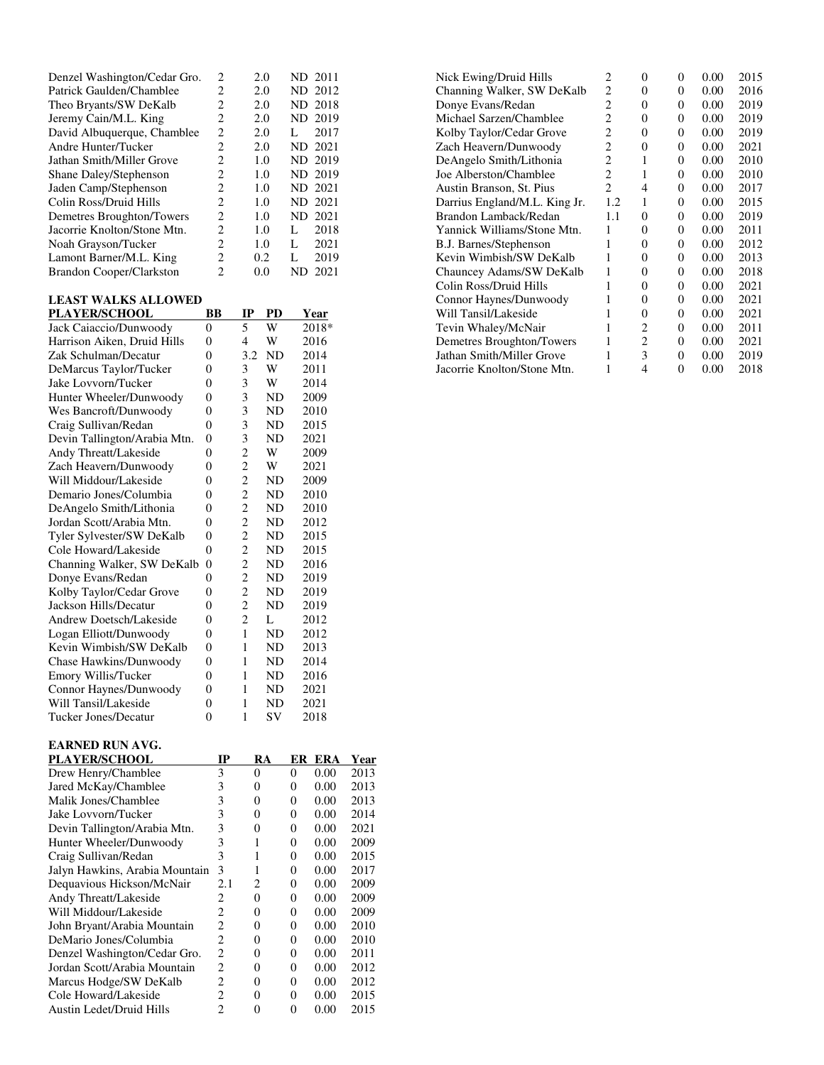| Denzel Washington/Cedar Gro. | 2                           | 2.0 | ND 2011    |
|------------------------------|-----------------------------|-----|------------|
| Patrick Gaulden/Chamblee     | 2                           | 2.0 | ND 2012    |
| Theo Bryants/SW DeKalb       | 2                           | 2.0 | ND 2018    |
| Jeremy Cain/M.L. King        | 2                           | 2.0 | ND 2019    |
| David Albuquerque, Chamblee  | 2                           | 2.0 | 2017       |
| Andre Hunter/Tucker          | 2                           | 2.0 | ND 2021    |
| Jathan Smith/Miller Grove    | 2                           | 1.0 | ND 2019    |
| Shane Daley/Stephenson       | 2                           | 1.0 | ND 2019    |
| Jaden Camp/Stephenson        | 2                           | 1.0 | ND 2021    |
| Colin Ross/Druid Hills       | $\mathcal{D}_{\mathcal{L}}$ | 1.0 | ND 2021    |
| Demetres Broughton/Towers    | 2                           | 1.0 | ND 2021    |
| Jacorrie Knolton/Stone Mtn.  | $\mathcal{D}_{\mathcal{L}}$ | 1.0 | 2018<br>L  |
| Noah Grayson/Tucker          | 2                           | 1.0 | 2021<br>L  |
| Lamont Barner/M.L. King      | 2                           | 0.2 | 2019<br>L  |
| Brandon Cooper/Clarkston     | 2                           | 0.0 | 2021<br>ND |
|                              |                             |     |            |

#### **LEAST WALKS ALLOWED**

| <b>PLAYER/SCHOOL</b>         | BB             | IР             | PD  | <u>Year</u> |
|------------------------------|----------------|----------------|-----|-------------|
| Jack Caiaccio/Dunwoody       | $\theta$       | 5              | W   | 2018*       |
| Harrison Aiken, Druid Hills  | 0              | 4              | W   | 2016        |
| Zak Schulman/Decatur         | $\theta$       | 3.2            | ND  | 2014        |
| DeMarcus Taylor/Tucker       | $\theta$       | 3              | W   | 2011        |
| Jake Lovvorn/Tucker          | 0              | 3              | W   | 2014        |
| Hunter Wheeler/Dunwoody      | $\theta$       | 3              | ND  | 2009        |
| Wes Bancroft/Dunwoody        | $\theta$       | 3              | ND  | 2010        |
| Craig Sullivan/Redan         | $\theta$       | 3              | ND  | 2015        |
| Devin Tallington/Arabia Mtn. | $\theta$       | 3              | ND  | 2021        |
| Andy Threatt/Lakeside        | $\theta$       | $\overline{c}$ | W   | 2009        |
| Zach Heavern/Dunwoody        | $\theta$       | $\overline{2}$ | W   | 2021        |
| Will Middour/Lakeside        | $\theta$       | $\overline{c}$ | ND  | 2009        |
| Demario Jones/Columbia       | 0              | $\overline{2}$ | ND  | 2010        |
| DeAngelo Smith/Lithonia      | $\theta$       | $\overline{c}$ | ND  | 2010        |
| Jordan Scott/Arabia Mtn.     | 0              | $\overline{2}$ | ND  | 2012        |
| Tyler Sylvester/SW DeKalb    | $\theta$       | $\overline{2}$ | ND  | 2015        |
| Cole Howard/Lakeside         | $\theta$       | $\overline{c}$ | ND  | 2015        |
| Channing Walker, SW DeKalb   | $\overline{0}$ | 2              | ND  | 2016        |
| Donye Evans/Redan            | $\theta$       | $\overline{2}$ | ND  | 2019        |
| Kolby Taylor/Cedar Grove     | $\theta$       | $\overline{c}$ | ND. | 2019        |
| Jackson Hills/Decatur        | $\theta$       | $\overline{2}$ | ND  | 2019        |
| Andrew Doetsch/Lakeside      | $\theta$       | $\overline{c}$ | L   | 2012        |
| Logan Elliott/Dunwoody       | $\theta$       | 1              | ND  | 2012        |
| Kevin Wimbish/SW DeKalb      | $\theta$       | 1              | ND  | 2013        |
| Chase Hawkins/Dunwoody       | 0              | 1              | ND  | 2014        |
| Emory Willis/Tucker          | $\theta$       | 1              | ND  | 2016        |
| Connor Haynes/Dunwoody       | 0              | 1              | ND  | 2021        |
| Will Tansil/Lakeside         | $\theta$       | 1              | ND  | 2021        |
| <b>Tucker Jones/Decatur</b>  | $\overline{0}$ | 1              | SV  | 2018        |
|                              |                |                |     |             |

#### **EARNED RUN AVG.**

| <b>PLAYER/SCHOOL</b>            | IР             | RA       | ER | <b>ERA</b> | Year |
|---------------------------------|----------------|----------|----|------------|------|
| Drew Henry/Chamblee             | 3              | $\theta$ | 0  | 0.00       | 2013 |
| Jared McKay/Chamblee            | 3              | 0        | 0  | 0.00       | 2013 |
| Malik Jones/Chamblee            | 3              | 0        | 0  | 0.00       | 2013 |
| Jake Lovvorn/Tucker             | 3              | 0        | 0  | 0.00       | 2014 |
| Devin Tallington/Arabia Mtn.    | 3              | 0        | 0  | 0.00       | 2021 |
| Hunter Wheeler/Dunwoody         | 3              | 1        | 0  | 0.00       | 2009 |
| Craig Sullivan/Redan            | 3              | 1        | 0  | 0.00       | 2015 |
| Jalyn Hawkins, Arabia Mountain  | 3              | 1        | 0  | 0.00       | 2017 |
| Dequavious Hickson/McNair       | 2.1            | 2        | 0  | 0.00       | 2009 |
| Andy Threatt/Lakeside           | 2              | 0        | 0  | 0.00       | 2009 |
| Will Middour/Lakeside           | 2              | 0        | 0  | 0.00       | 2009 |
| John Bryant/Arabia Mountain     | 2              | $\theta$ | 0  | 0.00       | 2010 |
| DeMario Jones/Columbia          | 2              | 0        | 0  | 0.00       | 2010 |
| Denzel Washington/Cedar Gro.    | 2              | $\theta$ | 0  | 0.00       | 2011 |
| Jordan Scott/Arabia Mountain    | 2              | 0        | 0  | 0.00       | 2012 |
| Marcus Hodge/SW DeKalb          | 2              | 0        | 0  | 0.00       | 2012 |
| Cole Howard/Lakeside            | $\mathfrak{D}$ | 0        | 0  | 0.00       | 2015 |
| <b>Austin Ledet/Druid Hills</b> | 2              | 0        | 0  | 0.00       | 2015 |

| Nick Ewing/Druid Hills        | 2              | 0              | 0              | 0.00     | 2015 |
|-------------------------------|----------------|----------------|----------------|----------|------|
| Channing Walker, SW DeKalb    | $\mathfrak{D}$ | 0              | 0              | 0.00     | 2016 |
| Donye Evans/Redan             | 2              | 0              | $\mathbf{0}$   | 0.00     | 2019 |
| Michael Sarzen/Chamblee       | 2              | 0              | 0              | 0.00     | 2019 |
| Kolby Taylor/Cedar Grove      | 2              | 0              | 0              | 0.00     | 2019 |
| Zach Heavern/Dunwoody         | 2              | 0              | $\mathbf{0}$   | 0.00     | 2021 |
| DeAngelo Smith/Lithonia       | 2              | 1              | $\theta$       | 0.00     | 2010 |
| Joe Alberston/Chamblee        | 2              | 1              | 0              | 0.00     | 2010 |
| Austin Branson, St. Pius      | 2              | 4              | 0              | 0.00     | 2017 |
| Darrius England/M.L. King Jr. | 1.2            | 1              | $\theta$       | 0.00     | 2015 |
| Brandon Lamback/Redan         | 1.1            | 0              | 0              | 0.00     | 2019 |
| Yannick Williams/Stone Mtn.   | 1              | 0              | 0              | 0.00     | 2011 |
| <b>B.J. Barnes/Stephenson</b> | 1              | 0              | 0              | 0.00     | 2012 |
| Kevin Wimbish/SW DeKalb       | 1              | 0              | 0              | 0.00     | 2013 |
| Chauncey Adams/SW DeKalb      | 1              | 0              | 0              | 0.00     | 2018 |
| Colin Ross/Druid Hills        |                | 0              | 0              | $0.00 -$ | 2021 |
| Connor Haynes/Dunwoody        | 1              | 0              | $\theta$       | 0.00     | 2021 |
| Will Tansil/Lakeside          |                | 0              | 0              | 0.00     | 2021 |
| Tevin Whaley/McNair           | 1              | $\mathfrak{D}$ | $\mathbf{0}$   | 0.00     | 2011 |
| Demetres Broughton/Towers     | 1              | $\overline{c}$ | $\theta$       | 0.00     | 2021 |
| Jathan Smith/Miller Grove     |                | 3              | $\overline{0}$ | 0.00     | 2019 |
| Jacorrie Knolton/Stone Mtn.   |                | 4              | 0              | 0.00     | 2018 |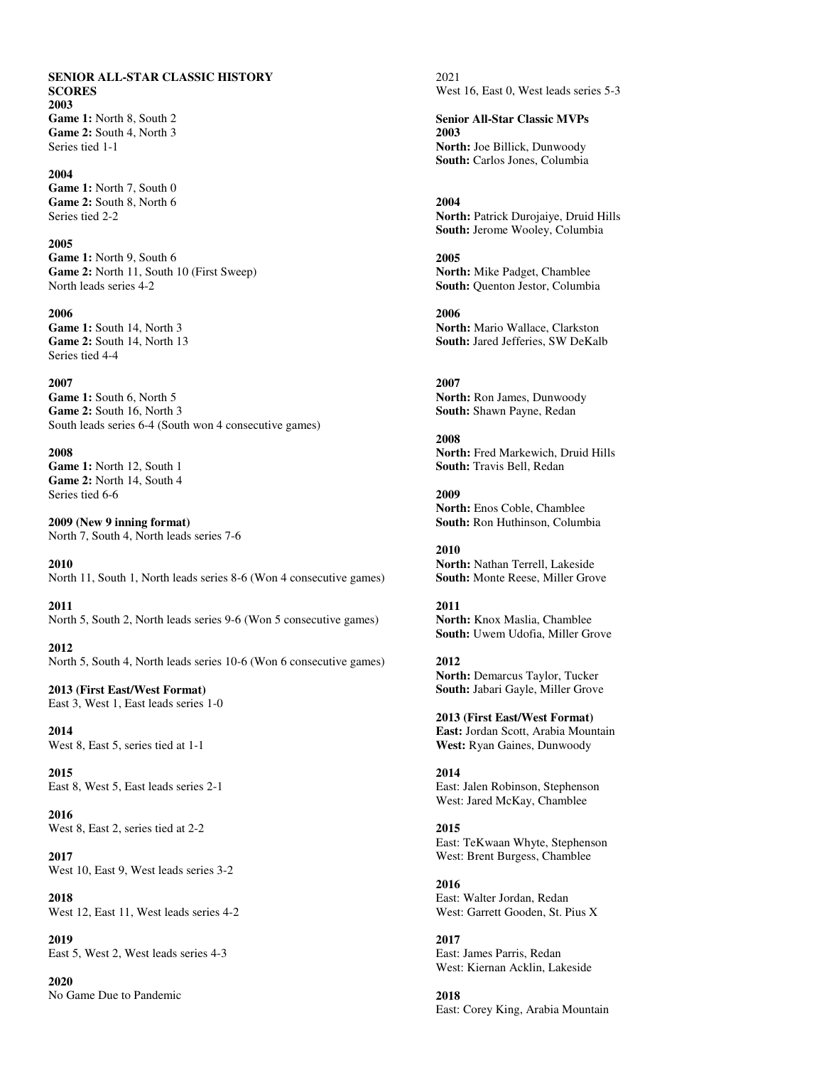#### **SENIOR ALL-STAR CLASSIC HISTORY SCORES 2003 Game 1:** North 8, South 2

**Game 2:** South 4, North 3 Series tied 1-1

#### **2004**

**Game 1:** North 7, South 0 **Game 2:** South 8, North 6 Series tied 2-2

#### **2005**

**Game 1:** North 9, South 6 **Game 2:** North 11, South 10 (First Sweep) North leads series 4-2

#### **2006**

**Game 1:** South 14, North 3 **Game 2:** South 14, North 13 Series tied 4-4

#### **2007**

**Game 1:** South 6, North 5 **Game 2:** South 16, North 3 South leads series 6-4 (South won 4 consecutive games)

#### **2008**

**Game 1:** North 12, South 1 **Game 2:** North 14, South 4 Series tied 6-6

**2009 (New 9 inning format)**  North 7, South 4, North leads series 7-6

**2010**  North 11, South 1, North leads series 8-6 (Won 4 consecutive games)

**2011**  North 5, South 2, North leads series 9-6 (Won 5 consecutive games)

**2012**  North 5, South 4, North leads series 10-6 (Won 6 consecutive games)

**2013 (First East/West Format)**  East 3, West 1, East leads series 1-0

**2014**  West 8, East 5, series tied at 1-1

**2015**  East 8, West 5, East leads series 2-1

**2016**  West 8, East 2, series tied at 2-2

**2017**  West 10, East 9, West leads series 3-2

**2018**  West 12, East 11, West leads series 4-2

**2019**  East 5, West 2, West leads series 4-3

**2020**  No Game Due to Pandemic 2021 West 16, East 0, West leads series 5-3

**Senior All-Star Classic MVPs 2003 North:** Joe Billick, Dunwoody **South:** Carlos Jones, Columbia

**2004 North:** Patrick Durojaiye, Druid Hills **South:** Jerome Wooley, Columbia

**2005 North:** Mike Padget, Chamblee **South:** Quenton Jestor, Columbia

**2006 North:** Mario Wallace, Clarkston **South:** Jared Jefferies, SW DeKalb

**2007 North:** Ron James, Dunwoody **South:** Shawn Payne, Redan

**2008 North:** Fred Markewich, Druid Hills **South:** Travis Bell, Redan

**2009 North:** Enos Coble, Chamblee **South:** Ron Huthinson, Columbia

**2010 North:** Nathan Terrell, Lakeside **South:** Monte Reese, Miller Grove

**2011 North:** Knox Maslia, Chamblee **South:** Uwem Udofia, Miller Grove

**2012 North:** Demarcus Taylor, Tucker **South:** Jabari Gayle, Miller Grove

**2013 (First East/West Format) East:** Jordan Scott, Arabia Mountain **West:** Ryan Gaines, Dunwoody

**2014**  East: Jalen Robinson, Stephenson West: Jared McKay, Chamblee

### **2015**

East: TeKwaan Whyte, Stephenson West: Brent Burgess, Chamblee

**2016**  East: Walter Jordan, Redan West: Garrett Gooden, St. Pius X

**2017**  East: James Parris, Redan West: Kiernan Acklin, Lakeside

**2018**  East: Corey King, Arabia Mountain